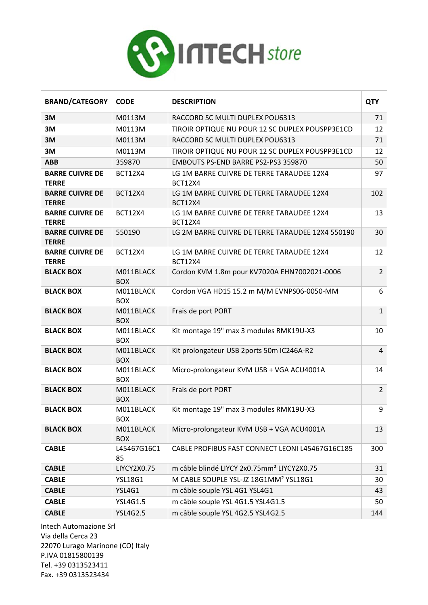

| <b>BRAND/CATEGORY</b>                  | <b>CODE</b>             | <b>DESCRIPTION</b>                                          | <b>QTY</b>     |
|----------------------------------------|-------------------------|-------------------------------------------------------------|----------------|
| 3M                                     | M0113M                  | RACCORD SC MULTI DUPLEX POU6313                             | 71             |
| 3M                                     | M0113M                  | TIROIR OPTIQUE NU POUR 12 SC DUPLEX POUSPP3E1CD             | 12             |
| 3M                                     | M0113M                  | RACCORD SC MULTI DUPLEX POU6313                             | 71             |
| 3M                                     | M0113M                  | TIROIR OPTIQUE NU POUR 12 SC DUPLEX POUSPP3E1CD             | 12             |
| <b>ABB</b>                             | 359870                  | EMBOUTS PS-END BARRE PS2-PS3 359870                         | 50             |
| <b>BARRE CUIVRE DE</b><br><b>TERRE</b> | <b>BCT12X4</b>          | LG 1M BARRE CUIVRE DE TERRE TARAUDEE 12X4<br><b>BCT12X4</b> | 97             |
| <b>BARRE CUIVRE DE</b><br><b>TERRE</b> | <b>BCT12X4</b>          | LG 1M BARRE CUIVRE DE TERRE TARAUDEE 12X4<br><b>BCT12X4</b> | 102            |
| <b>BARRE CUIVRE DE</b><br><b>TERRE</b> | <b>BCT12X4</b>          | LG 1M BARRE CUIVRE DE TERRE TARAUDEE 12X4<br><b>BCT12X4</b> | 13             |
| <b>BARRE CUIVRE DE</b><br><b>TERRE</b> | 550190                  | LG 2M BARRE CUIVRE DE TERRE TARAUDEE 12X4 550190            | 30             |
| <b>BARRE CUIVRE DE</b><br><b>TERRE</b> | <b>BCT12X4</b>          | LG 1M BARRE CUIVRE DE TERRE TARAUDEE 12X4<br><b>BCT12X4</b> | 12             |
| <b>BLACK BOX</b>                       | M011BLACK<br><b>BOX</b> | Cordon KVM 1.8m pour KV7020A EHN7002021-0006                | $\overline{2}$ |
| <b>BLACK BOX</b>                       | M011BLACK<br><b>BOX</b> | Cordon VGA HD15 15.2 m M/M EVNPS06-0050-MM                  | 6              |
| <b>BLACK BOX</b>                       | M011BLACK<br><b>BOX</b> | Frais de port PORT                                          | $\mathbf{1}$   |
| <b>BLACK BOX</b>                       | M011BLACK<br><b>BOX</b> | Kit montage 19" max 3 modules RMK19U-X3                     | 10             |
| <b>BLACK BOX</b>                       | M011BLACK<br><b>BOX</b> | Kit prolongateur USB 2ports 50m IC246A-R2                   | $\overline{4}$ |
| <b>BLACK BOX</b>                       | M011BLACK<br><b>BOX</b> | Micro-prolongateur KVM USB + VGA ACU4001A                   | 14             |
| <b>BLACK BOX</b>                       | M011BLACK<br><b>BOX</b> | Frais de port PORT                                          | $\overline{2}$ |
| <b>BLACK BOX</b>                       | M011BLACK<br><b>BOX</b> | Kit montage 19" max 3 modules RMK19U-X3                     | 9              |
| <b>BLACK BOX</b>                       | M011BLACK<br><b>BOX</b> | Micro-prolongateur KVM USB + VGA ACU4001A                   | 13             |
| <b>CABLE</b>                           | L45467G16C1<br>85       | CABLE PROFIBUS FAST CONNECT LEONI L45467G16C185             | 300            |
| <b>CABLE</b>                           | LIYCY2X0.75             | m câble blindé LIYCY 2x0.75mm <sup>2</sup> LIYCY2X0.75      | 31             |
| <b>CABLE</b>                           | <b>YSL18G1</b>          | M CABLE SOUPLE YSL-JZ 18G1MM <sup>2</sup> YSL18G1           | 30             |
| <b>CABLE</b>                           | YSL4G1                  | m câble souple YSL 4G1 YSL4G1                               | 43             |
| <b>CABLE</b>                           | YSL4G1.5                | m câble souple YSL 4G1.5 YSL4G1.5                           | 50             |
| <b>CABLE</b>                           | <b>YSL4G2.5</b>         | m câble souple YSL 4G2.5 YSL4G2.5                           | 144            |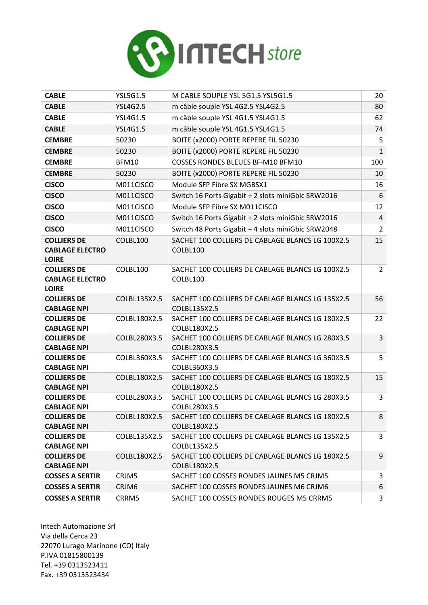

| <b>CABLE</b>                                                 | <b>YSL5G1.5</b> | M CABLE SOUPLE YSL 5G1.5 YSL5G1.5                                | 20             |
|--------------------------------------------------------------|-----------------|------------------------------------------------------------------|----------------|
| <b>CABLE</b>                                                 | <b>YSL4G2.5</b> | m câble souple YSL 4G2.5 YSL4G2.5                                | 80             |
| <b>CABLE</b>                                                 | <b>YSL4G1.5</b> | m câble souple YSL 4G1.5 YSL4G1.5                                | 62             |
| <b>CABLE</b>                                                 | <b>YSL4G1.5</b> | m câble souple YSL 4G1.5 YSL4G1.5                                | 74             |
| <b>CEMBRE</b>                                                | 50230           | BOITE (x2000) PORTE REPERE FIL 50230                             | 5              |
| <b>CEMBRE</b>                                                | 50230           | BOITE (x2000) PORTE REPERE FIL 50230                             | $\mathbf{1}$   |
| <b>CEMBRE</b>                                                | <b>BFM10</b>    | <b>COSSES RONDES BLEUES BF-M10 BFM10</b>                         | 100            |
| <b>CEMBRE</b>                                                | 50230           | BOITE (x2000) PORTE REPERE FIL 50230                             | 10             |
| <b>CISCO</b>                                                 | M011CISCO       | Module SFP Fibre SX MGBSX1                                       | 16             |
| <b>CISCO</b>                                                 | M011CISCO       | Switch 16 Ports Gigabit + 2 slots miniGbic SRW2016               | 6              |
| <b>CISCO</b>                                                 | M011CISCO       | Module SFP Fibre SX M011CISCO                                    | 12             |
| <b>CISCO</b>                                                 | M011CISCO       | Switch 16 Ports Gigabit + 2 slots miniGbic SRW2016               | $\overline{4}$ |
| <b>CISCO</b>                                                 | M011CISCO       | Switch 48 Ports Gigabit + 4 slots miniGbic SRW2048               | $\overline{2}$ |
| <b>COLLIERS DE</b><br><b>CABLAGE ELECTRO</b><br><b>LOIRE</b> | COLBL100        | SACHET 100 COLLIERS DE CABLAGE BLANCS LG 100X2.5<br>COLBL100     | 15             |
| <b>COLLIERS DE</b><br><b>CABLAGE ELECTRO</b><br><b>LOIRE</b> | COLBL100        | SACHET 100 COLLIERS DE CABLAGE BLANCS LG 100X2.5<br>COLBL100     | $\overline{2}$ |
| <b>COLLIERS DE</b><br><b>CABLAGE NPI</b>                     | COLBL135X2.5    | SACHET 100 COLLIERS DE CABLAGE BLANCS LG 135X2.5<br>COLBL135X2.5 | 56             |
| <b>COLLIERS DE</b><br><b>CABLAGE NPI</b>                     | COLBL180X2.5    | SACHET 100 COLLIERS DE CABLAGE BLANCS LG 180X2.5<br>COLBL180X2.5 | 22             |
| <b>COLLIERS DE</b><br><b>CABLAGE NPI</b>                     | COLBL280X3.5    | SACHET 100 COLLIERS DE CABLAGE BLANCS LG 280X3.5<br>COLBL280X3.5 | $\overline{3}$ |
| <b>COLLIERS DE</b><br><b>CABLAGE NPI</b>                     | COLBL360X3.5    | SACHET 100 COLLIERS DE CABLAGE BLANCS LG 360X3.5<br>COLBL360X3.5 | 5              |
| <b>COLLIERS DE</b><br><b>CABLAGE NPI</b>                     | COLBL180X2.5    | SACHET 100 COLLIERS DE CABLAGE BLANCS LG 180X2.5<br>COLBL180X2.5 | 15             |
| <b>COLLIERS DE</b><br><b>CABLAGE NPI</b>                     | COLBL280X3.5    | SACHET 100 COLLIERS DE CABLAGE BLANCS LG 280X3.5<br>COLBL280X3.5 | 3              |
| <b>COLLIERS DE</b><br><b>CABLAGE NPI</b>                     | COLBL180X2.5    | SACHET 100 COLLIERS DE CABLAGE BLANCS LG 180X2.5<br>COLBL180X2.5 | 8              |
| <b>COLLIERS DE</b><br><b>CABLAGE NPI</b>                     | COLBL135X2.5    | SACHET 100 COLLIERS DE CABLAGE BLANCS LG 135X2.5<br>COLBL135X2.5 | 3              |
| <b>COLLIERS DE</b><br><b>CABLAGE NPI</b>                     | COLBL180X2.5    | SACHET 100 COLLIERS DE CABLAGE BLANCS LG 180X2.5<br>COLBL180X2.5 | 9              |
| <b>COSSES A SERTIR</b>                                       | CRJM5           | SACHET 100 COSSES RONDES JAUNES M5 CRJM5                         | 3              |
| <b>COSSES A SERTIR</b>                                       | CRJM6           | SACHET 100 COSSES RONDES JAUNES M6 CRJM6                         | 6              |
| <b>COSSES A SERTIR</b>                                       | CRRM5           | SACHET 100 COSSES RONDES ROUGES M5 CRRM5                         | 3              |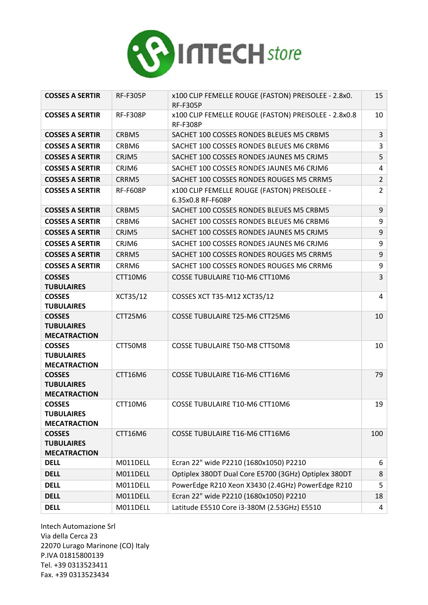

| <b>COSSES A SERTIR</b>                                    | <b>RF-F305P</b> | x100 CLIP FEMELLE ROUGE (FASTON) PREISOLEE - 2.8x0.<br><b>RF-F305P</b>  | 15             |
|-----------------------------------------------------------|-----------------|-------------------------------------------------------------------------|----------------|
| <b>COSSES A SERTIR</b>                                    | <b>RF-F308P</b> | x100 CLIP FEMELLE ROUGE (FASTON) PREISOLEE - 2.8x0.8<br><b>RF-F308P</b> | 10             |
| <b>COSSES A SERTIR</b>                                    | CRBM5           | SACHET 100 COSSES RONDES BLEUES M5 CRBM5                                | 3              |
| <b>COSSES A SERTIR</b>                                    | CRBM6           | SACHET 100 COSSES RONDES BLEUES M6 CRBM6                                | 3              |
| <b>COSSES A SERTIR</b>                                    | CRJM5           | SACHET 100 COSSES RONDES JAUNES M5 CRJM5                                | 5              |
| <b>COSSES A SERTIR</b>                                    | CRJM6           | SACHET 100 COSSES RONDES JAUNES M6 CRJM6                                | 4              |
| <b>COSSES A SERTIR</b>                                    | CRRM5           | SACHET 100 COSSES RONDES ROUGES M5 CRRM5                                | $\overline{2}$ |
| <b>COSSES A SERTIR</b>                                    | <b>RF-F608P</b> | x100 CLIP FEMELLE ROUGE (FASTON) PREISOLEE -<br>6.35x0.8 RF-F608P       | $\overline{2}$ |
| <b>COSSES A SERTIR</b>                                    | CRBM5           | SACHET 100 COSSES RONDES BLEUES M5 CRBM5                                | 9              |
| <b>COSSES A SERTIR</b>                                    | CRBM6           | SACHET 100 COSSES RONDES BLEUES M6 CRBM6                                | 9              |
| <b>COSSES A SERTIR</b>                                    | CRJM5           | SACHET 100 COSSES RONDES JAUNES M5 CRJM5                                | 9              |
| <b>COSSES A SERTIR</b>                                    | CRJM6           | SACHET 100 COSSES RONDES JAUNES M6 CRJM6                                | 9              |
| <b>COSSES A SERTIR</b>                                    | CRRM5           | SACHET 100 COSSES RONDES ROUGES M5 CRRM5                                | 9              |
| <b>COSSES A SERTIR</b>                                    | CRRM6           | SACHET 100 COSSES RONDES ROUGES M6 CRRM6                                | 9              |
| <b>COSSES</b><br><b>TUBULAIRES</b>                        | CTT10M6         | <b>COSSE TUBULAIRE T10-M6 CTT10M6</b>                                   | 3              |
| <b>COSSES</b><br><b>TUBULAIRES</b>                        | XCT35/12        | COSSES XCT T35-M12 XCT35/12                                             | 4              |
| <b>COSSES</b><br><b>TUBULAIRES</b><br><b>MECATRACTION</b> | CTT25M6         | COSSE TUBULAIRE T25-M6 CTT25M6                                          | 10             |
| <b>COSSES</b><br><b>TUBULAIRES</b><br><b>MECATRACTION</b> | CTT50M8         | <b>COSSE TUBULAIRE T50-M8 CTT50M8</b>                                   | 10             |
| <b>COSSES</b><br><b>TUBULAIRES</b><br><b>MECATRACTION</b> | CTT16M6         | <b>COSSE TUBULAIRE T16-M6 CTT16M6</b>                                   | 79             |
| <b>COSSES</b><br>TUBULAIRES<br><b>MECATRACTION</b>        | CTT10M6         | COSSE TUBULAIRE T10-M6 CTT10M6                                          | 19             |
| <b>COSSES</b><br><b>TUBULAIRES</b><br><b>MECATRACTION</b> | CTT16M6         | COSSE TUBULAIRE T16-M6 CTT16M6                                          | 100            |
| <b>DELL</b>                                               | M011DELL        | Ecran 22" wide P2210 (1680x1050) P2210                                  | 6              |
| <b>DELL</b>                                               | M011DELL        | Optiplex 380DT Dual Core E5700 (3GHz) Optiplex 380DT                    | 8              |
| <b>DELL</b>                                               | M011DELL        | PowerEdge R210 Xeon X3430 (2.4GHz) PowerEdge R210                       | 5              |
| <b>DELL</b>                                               | M011DELL        | Ecran 22" wide P2210 (1680x1050) P2210                                  | 18             |
| <b>DELL</b>                                               | M011DELL        | Latitude E5510 Core i3-380M (2.53GHz) E5510                             | 4              |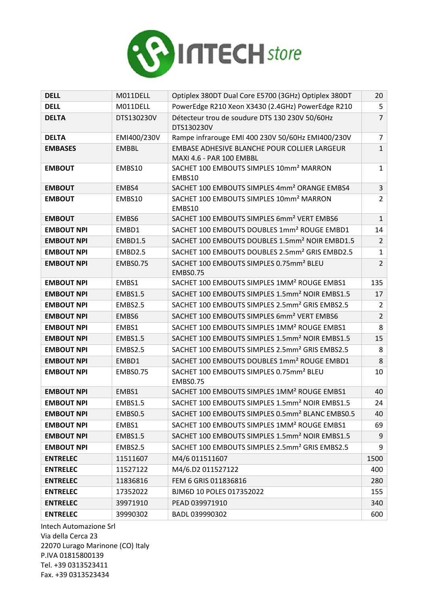

| <b>DELL</b>       | M011DELL        | Optiplex 380DT Dual Core E5700 (3GHz) Optiplex 380DT                     | 20             |
|-------------------|-----------------|--------------------------------------------------------------------------|----------------|
| <b>DELL</b>       | M011DELL        | PowerEdge R210 Xeon X3430 (2.4GHz) PowerEdge R210                        | 5              |
| <b>DELTA</b>      | DTS130230V      | Détecteur trou de soudure DTS 130 230V 50/60Hz<br>DTS130230V             | $\overline{7}$ |
| <b>DELTA</b>      | EMI400/230V     | Rampe infrarouge EMI 400 230V 50/60Hz EMI400/230V                        | $\overline{7}$ |
| <b>EMBASES</b>    | <b>EMBBL</b>    | EMBASE ADHESIVE BLANCHE POUR COLLIER LARGEUR<br>MAXI 4.6 - PAR 100 EMBBL | $\mathbf{1}$   |
| <b>EMBOUT</b>     | EMBS10          | SACHET 100 EMBOUTS SIMPLES 10mm <sup>2</sup> MARRON<br>EMBS10            | $\mathbf{1}$   |
| <b>EMBOUT</b>     | EMBS4           | SACHET 100 EMBOUTS SIMPLES 4mm <sup>2</sup> ORANGE EMBS4                 | $\overline{3}$ |
| <b>EMBOUT</b>     | EMBS10          | SACHET 100 EMBOUTS SIMPLES 10mm <sup>2</sup> MARRON<br>EMBS10            | $\overline{2}$ |
| <b>EMBOUT</b>     | EMBS6           | SACHET 100 EMBOUTS SIMPLES 6mm <sup>2</sup> VERT EMBS6                   | $\mathbf{1}$   |
| <b>EMBOUT NPI</b> | EMBD1           | SACHET 100 EMBOUTS DOUBLES 1mm <sup>2</sup> ROUGE EMBD1                  | 14             |
| <b>EMBOUT NPI</b> | EMBD1.5         | SACHET 100 EMBOUTS DOUBLES 1.5mm <sup>2</sup> NOIR EMBD1.5               | $\overline{2}$ |
| <b>EMBOUT NPI</b> | EMBD2.5         | SACHET 100 EMBOUTS DOUBLES 2.5mm <sup>2</sup> GRIS EMBD2.5               | $\mathbf{1}$   |
| <b>EMBOUT NPI</b> | <b>EMBS0.75</b> | SACHET 100 EMBOUTS SIMPLES 0.75mm <sup>2</sup> BLEU<br><b>EMBS0.75</b>   | $\overline{2}$ |
| <b>EMBOUT NPI</b> | EMBS1           | SACHET 100 EMBOUTS SIMPLES 1MM <sup>2</sup> ROUGE EMBS1                  | 135            |
| <b>EMBOUT NPI</b> | <b>EMBS1.5</b>  | SACHET 100 EMBOUTS SIMPLES 1.5mm <sup>2</sup> NOIR EMBS1.5               | 17             |
| <b>EMBOUT NPI</b> | EMBS2.5         | SACHET 100 EMBOUTS SIMPLES 2.5mm <sup>2</sup> GRIS EMBS2.5               | $\overline{2}$ |
| <b>EMBOUT NPI</b> | EMBS6           | SACHET 100 EMBOUTS SIMPLES 6mm <sup>2</sup> VERT EMBS6                   | $\overline{2}$ |
| <b>EMBOUT NPI</b> | EMBS1           | SACHET 100 EMBOUTS SIMPLES 1MM <sup>2</sup> ROUGE EMBS1                  | 8              |
| <b>EMBOUT NPI</b> | <b>EMBS1.5</b>  | SACHET 100 EMBOUTS SIMPLES 1.5mm <sup>2</sup> NOIR EMBS1.5               | 15             |
| <b>EMBOUT NPI</b> | EMBS2.5         | SACHET 100 EMBOUTS SIMPLES 2.5mm <sup>2</sup> GRIS EMBS2.5               | 8              |
| <b>EMBOUT NPI</b> | EMBD1           | SACHET 100 EMBOUTS DOUBLES 1mm <sup>2</sup> ROUGE EMBD1                  | 8              |
| <b>EMBOUT NPI</b> | <b>EMBS0.75</b> | SACHET 100 EMBOUTS SIMPLES 0.75mm <sup>2</sup> BLEU<br><b>EMBS0.75</b>   | 10             |
| <b>EMBOUT NPI</b> | EMBS1           | SACHET 100 EMBOUTS SIMPLES 1MM <sup>2</sup> ROUGE EMBS1                  | 40             |
| <b>EMBOUT NPI</b> | <b>EMBS1.5</b>  | SACHET 100 EMBOUTS SIMPLES 1.5mm <sup>2</sup> NOIR EMBS1.5               | 24             |
| <b>EMBOUT NPI</b> | EMBS0.5         | SACHET 100 EMBOUTS SIMPLES 0.5mm <sup>2</sup> BLANC EMBS0.5              | 40             |
| <b>EMBOUT NPI</b> | EMBS1           | SACHET 100 EMBOUTS SIMPLES 1MM <sup>2</sup> ROUGE EMBS1                  | 69             |
| <b>EMBOUT NPI</b> | <b>EMBS1.5</b>  | SACHET 100 EMBOUTS SIMPLES 1.5mm <sup>2</sup> NOIR EMBS1.5               | 9              |
| <b>EMBOUT NPI</b> | EMBS2.5         | SACHET 100 EMBOUTS SIMPLES 2.5mm <sup>2</sup> GRIS EMBS2.5               | 9              |
| <b>ENTRELEC</b>   | 11511607        | M4/6 011511607                                                           | 1500           |
| <b>ENTRELEC</b>   | 11527122        | M4/6.D2 011527122                                                        | 400            |
| <b>ENTRELEC</b>   | 11836816        | FEM 6 GRIS 011836816                                                     | 280            |
| <b>ENTRELEC</b>   | 17352022        | BJM6D 10 POLES 017352022                                                 | 155            |
| <b>ENTRELEC</b>   | 39971910        | PEAD 039971910                                                           | 340            |
| <b>ENTRELEC</b>   | 39990302        | BADL 039990302                                                           | 600            |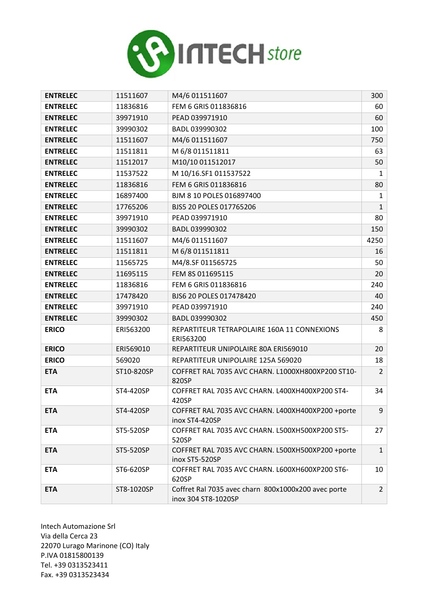

| <b>ENTRELEC</b> | 11511607   | M4/6 011511607                                                             | 300            |
|-----------------|------------|----------------------------------------------------------------------------|----------------|
| <b>ENTRELEC</b> | 11836816   | FEM 6 GRIS 011836816                                                       | 60             |
| <b>ENTRELEC</b> | 39971910   | PEAD 039971910                                                             | 60             |
| <b>ENTRELEC</b> | 39990302   | BADL 039990302                                                             | 100            |
| <b>ENTRELEC</b> | 11511607   | M4/6 011511607                                                             | 750            |
| <b>ENTRELEC</b> | 11511811   | M 6/8 011511811                                                            | 63             |
| <b>ENTRELEC</b> | 11512017   | M10/10 011512017                                                           | 50             |
| <b>ENTRELEC</b> | 11537522   | M 10/16.SF1 011537522                                                      | 1              |
| <b>ENTRELEC</b> | 11836816   | FEM 6 GRIS 011836816                                                       | 80             |
| <b>ENTRELEC</b> | 16897400   | BJM 8 10 POLES 016897400                                                   | 1              |
| <b>ENTRELEC</b> | 17765206   | BJS5 20 POLES 017765206                                                    | $\mathbf{1}$   |
| <b>ENTRELEC</b> | 39971910   | PEAD 039971910                                                             | 80             |
| <b>ENTRELEC</b> | 39990302   | BADL 039990302                                                             | 150            |
| <b>ENTRELEC</b> | 11511607   | M4/6 011511607                                                             | 4250           |
| <b>ENTRELEC</b> | 11511811   | M 6/8 011511811                                                            | 16             |
| <b>ENTRELEC</b> | 11565725   | M4/8.SF 011565725                                                          | 50             |
| <b>ENTRELEC</b> | 11695115   | FEM 8S 011695115                                                           | 20             |
| <b>ENTRELEC</b> | 11836816   | FEM 6 GRIS 011836816                                                       | 240            |
| <b>ENTRELEC</b> | 17478420   | BJS6 20 POLES 017478420                                                    | 40             |
| <b>ENTRELEC</b> | 39971910   | PEAD 039971910                                                             | 240            |
| <b>ENTRELEC</b> | 39990302   | BADL 039990302                                                             | 450            |
| <b>ERICO</b>    | ERI563200  | REPARTITEUR TETRAPOLAIRE 160A 11 CONNEXIONS<br>ERI563200                   | 8              |
| <b>ERICO</b>    | ERI569010  | REPARTITEUR UNIPOLAIRE 80A ERI569010                                       | 20             |
| <b>ERICO</b>    | 569020     | REPARTITEUR UNIPOLAIRE 125A 569020                                         | 18             |
| <b>ETA</b>      | ST10-820SP | COFFRET RAL 7035 AVC CHARN. L1000XH800XP200 ST10-<br>820SP                 | $\overline{2}$ |
| <b>ETA</b>      | ST4-420SP  | COFFRET RAL 7035 AVC CHARN. L400XH400XP200 ST4-<br>420SP                   | 34             |
| <b>ETA</b>      | ST4-420SP  | COFFRET RAL 7035 AVC CHARN. L400XH400XP200 +porte<br>inox ST4-420SP        | 9              |
| <b>ETA</b>      | ST5-520SP  | COFFRET RAL 7035 AVC CHARN. L500XH500XP200 ST5-<br>520SP                   | 27             |
| <b>ETA</b>      | ST5-520SP  | COFFRET RAL 7035 AVC CHARN. L500XH500XP200 +porte<br>inox ST5-520SP        | $\mathbf{1}$   |
| <b>ETA</b>      | ST6-620SP  | COFFRET RAL 7035 AVC CHARN. L600XH600XP200 ST6-<br>620SP                   | 10             |
| <b>ETA</b>      | ST8-1020SP | Coffret Ral 7035 avec charn 800x1000x200 avec porte<br>inox 304 ST8-1020SP | $\overline{2}$ |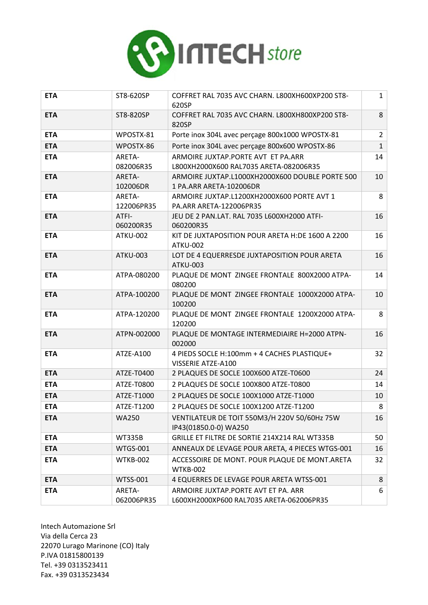

| <b>ETA</b> | ST8-620SP            | COFFRET RAL 7035 AVC CHARN. L800XH600XP200 ST8-<br>620SP                         | $\mathbf{1}$   |
|------------|----------------------|----------------------------------------------------------------------------------|----------------|
| <b>ETA</b> | ST8-820SP            | COFFRET RAL 7035 AVC CHARN. L800XH800XP200 ST8-<br>820SP                         | 8              |
| <b>ETA</b> | WPOSTX-81            | Porte inox 304L avec perçage 800x1000 WPOSTX-81                                  | $\overline{2}$ |
| <b>ETA</b> | WPOSTX-86            | Porte inox 304L avec perçage 800x600 WPOSTX-86                                   | $\mathbf{1}$   |
| <b>ETA</b> | ARETA-<br>082006R35  | ARMOIRE JUXTAP.PORTE AVT ET PA.ARR<br>L800XH2000X600 RAL7035 ARETA-082006R35     | 14             |
| <b>ETA</b> | ARETA-<br>102006DR   | ARMOIRE JUXTAP.L1000XH2000X600 DOUBLE PORTE 500<br>1 PA.ARR ARETA-102006DR       | 10             |
| <b>ETA</b> | ARETA-<br>122006PR35 | ARMOIRE JUXTAP.L1200XH2000X600 PORTE AVT 1<br>PA.ARR ARETA-122006PR35            | 8              |
| <b>ETA</b> | ATFI-<br>060200R35   | JEU DE 2 PAN.LAT. RAL 7035 L600XH2000 ATFI-<br>060200R35                         | 16             |
| <b>ETA</b> | <b>ATKU-002</b>      | KIT DE JUXTAPOSITION POUR ARETA H:DE 1600 A 2200<br><b>ATKU-002</b>              | 16             |
| <b>ETA</b> | <b>ATKU-003</b>      | LOT DE 4 EQUERRESDE JUXTAPOSITION POUR ARETA<br><b>ATKU-003</b>                  | 16             |
| <b>ETA</b> | ATPA-080200          | PLAQUE DE MONT ZINGEE FRONTALE 800X2000 ATPA-<br>080200                          | 14             |
| <b>ETA</b> | ATPA-100200          | PLAQUE DE MONT ZINGEE FRONTALE 1000X2000 ATPA-<br>100200                         | 10             |
| <b>ETA</b> | ATPA-120200          | PLAQUE DE MONT ZINGEE FRONTALE 1200X2000 ATPA-<br>120200                         | 8              |
| <b>ETA</b> | ATPN-002000          | PLAQUE DE MONTAGE INTERMEDIAIRE H=2000 ATPN-<br>002000                           | 16             |
| <b>ETA</b> | ATZE-A100            | 4 PIEDS SOCLE H:100mm + 4 CACHES PLASTIQUE+<br>VISSERIE ATZE-A100                | 32             |
| <b>ETA</b> | ATZE-T0400           | 2 PLAQUES DE SOCLE 100X600 ATZE-T0600                                            | 24             |
| <b>ETA</b> | ATZE-T0800           | 2 PLAQUES DE SOCLE 100X800 ATZE-T0800                                            | 14             |
| <b>ETA</b> | ATZE-T1000           | 2 PLAQUES DE SOCLE 100X1000 ATZE-T1000                                           | 10             |
| <b>ETA</b> | ATZE-T1200           | 2 PLAQUES DE SOCLE 100X1200 ATZE-T1200                                           | 8              |
| <b>ETA</b> | <b>WA250</b>         | VENTILATEUR DE TOIT 550M3/H 220V 50/60Hz 75W<br>IP43(01850.0-0) WA250            | 16             |
| <b>ETA</b> | <b>WT335B</b>        | GRILLE ET FILTRE DE SORTIE 214X214 RAL WT335B                                    | 50             |
| <b>ETA</b> | <b>WTGS-001</b>      | ANNEAUX DE LEVAGE POUR ARETA, 4 PIECES WTGS-001                                  | 16             |
| <b>ETA</b> | <b>WTKB-002</b>      | ACCESSOIRE DE MONT. POUR PLAQUE DE MONT.ARETA<br><b>WTKB-002</b>                 | 32             |
| <b>ETA</b> | <b>WTSS-001</b>      | 4 EQUERRES DE LEVAGE POUR ARETA WTSS-001                                         | 8              |
| <b>ETA</b> | ARETA-<br>062006PR35 | ARMOIRE JUXTAP. PORTE AVT ET PA. ARR<br>L600XH2000XP600 RAL7035 ARETA-062006PR35 | 6              |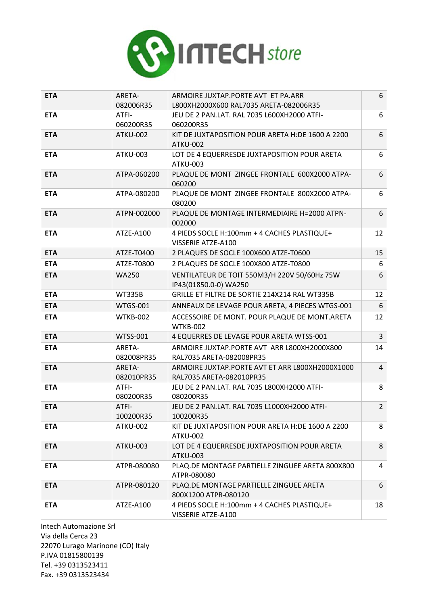

| <b>ETA</b> | ARETA-               | ARMOIRE JUXTAP.PORTE AVT ET PA.ARR                                           | 6              |
|------------|----------------------|------------------------------------------------------------------------------|----------------|
|            | 082006R35            | L800XH2000X600 RAL7035 ARETA-082006R35                                       |                |
| <b>ETA</b> | ATFI-<br>060200R35   | JEU DE 2 PAN.LAT. RAL 7035 L600XH2000 ATFI-<br>060200R35                     | 6              |
| <b>ETA</b> | <b>ATKU-002</b>      | KIT DE JUXTAPOSITION POUR ARETA H:DE 1600 A 2200<br><b>ATKU-002</b>          | 6              |
| <b>ETA</b> | <b>ATKU-003</b>      | LOT DE 4 EQUERRESDE JUXTAPOSITION POUR ARETA<br><b>ATKU-003</b>              | 6              |
| <b>ETA</b> | ATPA-060200          | PLAQUE DE MONT ZINGEE FRONTALE 600X2000 ATPA-<br>060200                      | 6              |
| <b>ETA</b> | ATPA-080200          | PLAQUE DE MONT ZINGEE FRONTALE 800X2000 ATPA-<br>080200                      | 6              |
| <b>ETA</b> | ATPN-002000          | PLAQUE DE MONTAGE INTERMEDIAIRE H=2000 ATPN-<br>002000                       | 6              |
| <b>ETA</b> | ATZE-A100            | 4 PIEDS SOCLE H:100mm + 4 CACHES PLASTIQUE+<br>VISSERIE ATZE-A100            | 12             |
| <b>ETA</b> | ATZE-T0400           | 2 PLAQUES DE SOCLE 100X600 ATZE-T0600                                        | 15             |
| <b>ETA</b> | ATZE-T0800           | 2 PLAQUES DE SOCLE 100X800 ATZE-T0800                                        | 6              |
| <b>ETA</b> | <b>WA250</b>         | VENTILATEUR DE TOIT 550M3/H 220V 50/60Hz 75W<br>IP43(01850.0-0) WA250        | 6              |
| <b>ETA</b> | <b>WT335B</b>        | GRILLE ET FILTRE DE SORTIE 214X214 RAL WT335B                                | 12             |
| <b>ETA</b> | <b>WTGS-001</b>      | ANNEAUX DE LEVAGE POUR ARETA, 4 PIECES WTGS-001                              | 6              |
| <b>ETA</b> | <b>WTKB-002</b>      | ACCESSOIRE DE MONT. POUR PLAQUE DE MONT.ARETA<br><b>WTKB-002</b>             | 12             |
| <b>ETA</b> | <b>WTSS-001</b>      | 4 EQUERRES DE LEVAGE POUR ARETA WTSS-001                                     | $\overline{3}$ |
| <b>ETA</b> | ARETA-<br>082008PR35 | ARMOIRE JUXTAP.PORTE AVT ARR L800XH2000X800<br>RAL7035 ARETA-082008PR35      | 14             |
| <b>ETA</b> | ARETA-<br>082010PR35 | ARMOIRE JUXTAP. PORTE AVT ET ARR L800XH2000X1000<br>RAL7035 ARETA-082010PR35 | $\overline{4}$ |
| <b>ETA</b> | ATFI-<br>080200R35   | JEU DE 2 PAN.LAT. RAL 7035 L800XH2000 ATFI-<br>080200R35                     | 8              |
| <b>ETA</b> | ATFI-<br>100200R35   | JEU DE 2 PAN.LAT. RAL 7035 L1000XH2000 ATFI-<br>100200R35                    | $\overline{2}$ |
| <b>ETA</b> | ATKU-002             | KIT DE JUXTAPOSITION POUR ARETA H:DE 1600 A 2200<br><b>ATKU-002</b>          | 8              |
| <b>ETA</b> | <b>ATKU-003</b>      | LOT DE 4 EQUERRESDE JUXTAPOSITION POUR ARETA<br><b>ATKU-003</b>              | 8              |
| <b>ETA</b> | ATPR-080080          | PLAQ.DE MONTAGE PARTIELLE ZINGUEE ARETA 800X800<br>ATPR-080080               | 4              |
| <b>ETA</b> | ATPR-080120          | PLAQ.DE MONTAGE PARTIELLE ZINGUEE ARETA<br>800X1200 ATPR-080120              | 6              |
| <b>ETA</b> | ATZE-A100            | 4 PIEDS SOCLE H:100mm + 4 CACHES PLASTIQUE+<br>VISSERIE ATZE-A100            | 18             |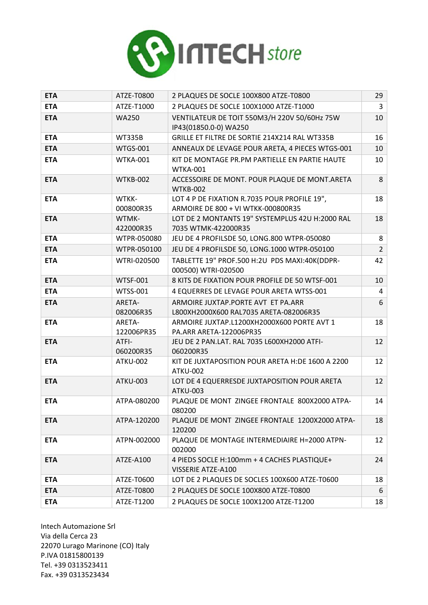

| <b>ETA</b> | ATZE-T0800           | 2 PLAQUES DE SOCLE 100X800 ATZE-T0800                                              | 29             |
|------------|----------------------|------------------------------------------------------------------------------------|----------------|
| <b>ETA</b> | ATZE-T1000           | 2 PLAQUES DE SOCLE 100X1000 ATZE-T1000                                             | $\overline{3}$ |
| <b>ETA</b> | <b>WA250</b>         | VENTILATEUR DE TOIT 550M3/H 220V 50/60Hz 75W<br>IP43(01850.0-0) WA250              | 10             |
| <b>ETA</b> | <b>WT335B</b>        | GRILLE ET FILTRE DE SORTIE 214X214 RAL WT335B                                      | 16             |
| <b>ETA</b> | <b>WTGS-001</b>      | ANNEAUX DE LEVAGE POUR ARETA, 4 PIECES WTGS-001                                    | 10             |
| <b>ETA</b> | <b>WTKA-001</b>      | KIT DE MONTAGE PR.PM PARTIELLE EN PARTIE HAUTE<br><b>WTKA-001</b>                  | 10             |
| <b>ETA</b> | WTKB-002             | ACCESSOIRE DE MONT. POUR PLAQUE DE MONT.ARETA<br><b>WTKB-002</b>                   | 8              |
| <b>ETA</b> | WTKK-<br>000800R35   | LOT 4 P DE FIXATION R.7035 POUR PROFILE 19",<br>ARMOIRE DE 800 + VI WTKK-000800R35 | 18             |
| <b>ETA</b> | WTMK-<br>422000R35   | LOT DE 2 MONTANTS 19" SYSTEMPLUS 42U H:2000 RAL<br>7035 WTMK-422000R35             | 18             |
| <b>ETA</b> | WTPR-050080          | JEU DE 4 PROFILSDE 50, LONG.800 WTPR-050080                                        | 8              |
| <b>ETA</b> | WTPR-050100          | JEU DE 4 PROFILSDE 50, LONG.1000 WTPR-050100                                       | $\overline{2}$ |
| <b>ETA</b> | WTRI-020500          | TABLETTE 19" PROF.500 H:2U PDS MAXI:40K(DDPR-<br>000500) WTRI-020500               | 42             |
| <b>ETA</b> | <b>WTSF-001</b>      | 8 KITS DE FIXATION POUR PROFILE DE 50 WTSF-001                                     | 10             |
| <b>ETA</b> | <b>WTSS-001</b>      | 4 EQUERRES DE LEVAGE POUR ARETA WTSS-001                                           | 4              |
| <b>ETA</b> | ARETA-<br>082006R35  | ARMOIRE JUXTAP.PORTE AVT ET PA.ARR<br>L800XH2000X600 RAL7035 ARETA-082006R35       | 6              |
| <b>ETA</b> | ARETA-<br>122006PR35 | ARMOIRE JUXTAP.L1200XH2000X600 PORTE AVT 1<br>PA.ARR ARETA-122006PR35              | 18             |
| <b>ETA</b> | ATFI-<br>060200R35   | JEU DE 2 PAN.LAT. RAL 7035 L600XH2000 ATFI-<br>060200R35                           | 12             |
| <b>ETA</b> | ATKU-002             | KIT DE JUXTAPOSITION POUR ARETA H:DE 1600 A 2200<br><b>ATKU-002</b>                | 12             |
| <b>ETA</b> | <b>ATKU-003</b>      | LOT DE 4 EQUERRESDE JUXTAPOSITION POUR ARETA<br><b>ATKU-003</b>                    | 12             |
| <b>ETA</b> | ATPA-080200          | PLAQUE DE MONT ZINGEE FRONTALE 800X2000 ATPA-<br>080200                            | 14             |
| <b>ETA</b> | ATPA-120200          | PLAQUE DE MONT ZINGEE FRONTALE 1200X2000 ATPA-<br>120200                           | 18             |
| <b>ETA</b> | ATPN-002000          | PLAQUE DE MONTAGE INTERMEDIAIRE H=2000 ATPN-<br>002000                             | 12             |
| <b>ETA</b> | ATZE-A100            | 4 PIEDS SOCLE H:100mm + 4 CACHES PLASTIQUE+<br>VISSERIE ATZE-A100                  | 24             |
| <b>ETA</b> | ATZE-T0600           | LOT DE 2 PLAQUES DE SOCLES 100X600 ATZE-T0600                                      | 18             |
| <b>ETA</b> | ATZE-T0800           | 2 PLAQUES DE SOCLE 100X800 ATZE-T0800                                              | 6              |
| <b>ETA</b> | ATZE-T1200           | 2 PLAQUES DE SOCLE 100X1200 ATZE-T1200                                             | 18             |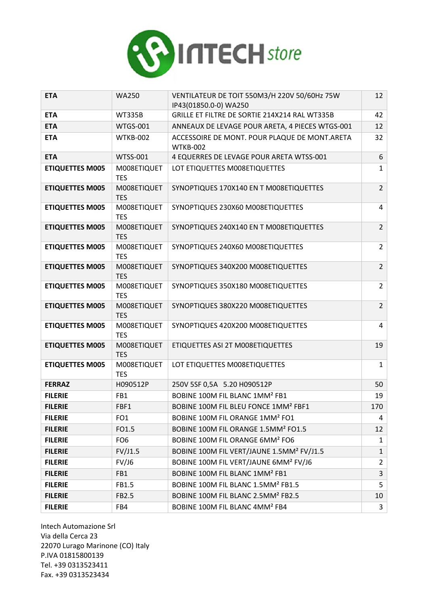

| <b>ETA</b>             | <b>WA250</b>              | VENTILATEUR DE TOIT 550M3/H 220V 50/60Hz 75W              | 12                      |
|------------------------|---------------------------|-----------------------------------------------------------|-------------------------|
|                        |                           | IP43(01850.0-0) WA250                                     |                         |
| <b>ETA</b>             | <b>WT335B</b>             | GRILLE ET FILTRE DE SORTIE 214X214 RAL WT335B             | 42                      |
| <b>ETA</b>             | <b>WTGS-001</b>           | ANNEAUX DE LEVAGE POUR ARETA, 4 PIECES WTGS-001           | 12                      |
| <b>ETA</b>             | <b>WTKB-002</b>           | ACCESSOIRE DE MONT. POUR PLAQUE DE MONT.ARETA<br>WTKB-002 | 32                      |
| <b>ETA</b>             | <b>WTSS-001</b>           | 4 EQUERRES DE LEVAGE POUR ARETA WTSS-001                  | 6                       |
| <b>ETIQUETTES M005</b> | M008ETIQUET<br><b>TES</b> | LOT ETIQUETTES M008ETIQUETTES                             | $\mathbf{1}$            |
| <b>ETIQUETTES M005</b> | M008ETIQUET<br><b>TES</b> | SYNOPTIQUES 170X140 EN T M008ETIQUETTES                   | $\overline{2}$          |
| <b>ETIQUETTES M005</b> | M008ETIQUET<br><b>TES</b> | SYNOPTIQUES 230X60 M008ETIQUETTES                         | 4                       |
| <b>ETIQUETTES M005</b> | M008ETIQUET<br><b>TES</b> | SYNOPTIQUES 240X140 EN T M008ETIQUETTES                   | $\overline{2}$          |
| <b>ETIQUETTES M005</b> | M008ETIQUET<br><b>TES</b> | SYNOPTIQUES 240X60 M008ETIQUETTES                         | $\overline{2}$          |
| <b>ETIQUETTES M005</b> | M008ETIQUET<br><b>TES</b> | SYNOPTIQUES 340X200 M008ETIQUETTES                        | $\overline{2}$          |
| <b>ETIQUETTES M005</b> | M008ETIQUET<br><b>TES</b> | SYNOPTIQUES 350X180 M008ETIQUETTES                        | $\overline{2}$          |
| <b>ETIQUETTES M005</b> | M008ETIQUET<br><b>TES</b> | SYNOPTIQUES 380X220 M008ETIQUETTES                        | $\overline{2}$          |
| <b>ETIQUETTES M005</b> | M008ETIQUET<br><b>TES</b> | SYNOPTIQUES 420X200 M008ETIQUETTES                        | 4                       |
| <b>ETIQUETTES M005</b> | M008ETIQUET<br><b>TES</b> | ETIQUETTES ASI 2T M008ETIQUETTES                          | 19                      |
| <b>ETIQUETTES M005</b> | M008ETIQUET<br><b>TES</b> | LOT ETIQUETTES M008ETIQUETTES                             | $\mathbf{1}$            |
| <b>FERRAZ</b>          | H090512P                  | 250V 5SF 0,5A 5.20 H090512P                               | 50                      |
| <b>FILERIE</b>         | FB1                       | BOBINE 100M FIL BLANC 1MM <sup>2</sup> FB1                | 19                      |
| <b>FILERIE</b>         | FBF1                      | BOBINE 100M FIL BLEU FONCE 1MM <sup>2</sup> FBF1          | 170                     |
| <b>FILERIE</b>         | FO <sub>1</sub>           | BOBINE 100M FIL ORANGE 1MM <sup>2</sup> FO1               | 4                       |
| <b>FILERIE</b>         | FO1.5                     | BOBINE 100M FIL ORANGE 1.5MM <sup>2</sup> FO1.5           | 12                      |
| <b>FILERIE</b>         | FO <sub>6</sub>           | BOBINE 100M FIL ORANGE 6MM <sup>2</sup> FO6               | $\mathbf{1}$            |
| <b>FILERIE</b>         | FV/J1.5                   | BOBINE 100M FIL VERT/JAUNE 1.5MM <sup>2</sup> FV/J1.5     | $\mathbf{1}$            |
| <b>FILERIE</b>         | FV/J6                     | BOBINE 100M FIL VERT/JAUNE 6MM <sup>2</sup> FV/J6         | $\overline{2}$          |
| <b>FILERIE</b>         | FB1                       | BOBINE 100M FIL BLANC 1MM <sup>2</sup> FB1                | $\overline{\mathbf{3}}$ |
| <b>FILERIE</b>         | FB1.5                     | BOBINE 100M FIL BLANC 1.5MM <sup>2</sup> FB1.5            | 5                       |
| <b>FILERIE</b>         | FB2.5                     | BOBINE 100M FIL BLANC 2.5MM <sup>2</sup> FB2.5            | 10                      |
| <b>FILERIE</b>         | FB4                       | BOBINE 100M FIL BLANC 4MM <sup>2</sup> FB4                | $\mathbf{3}$            |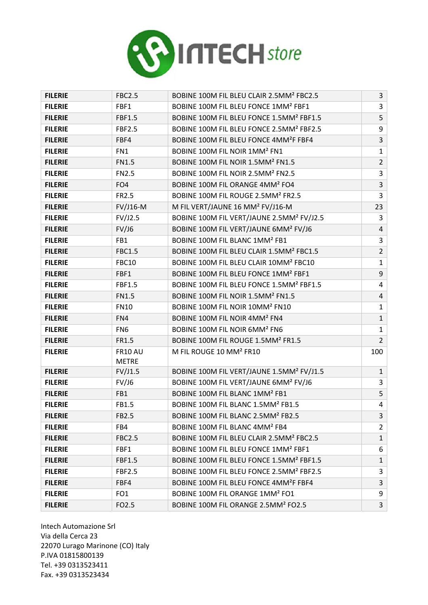

| <b>FILERIE</b> | <b>FBC2.5</b>                  | BOBINE 100M FIL BLEU CLAIR 2.5MM <sup>2</sup> FBC2.5  | $\mathbf{3}$            |
|----------------|--------------------------------|-------------------------------------------------------|-------------------------|
| <b>FILERIE</b> | FBF1                           | BOBINE 100M FIL BLEU FONCE 1MM <sup>2</sup> FBF1      | 3                       |
| <b>FILERIE</b> | <b>FBF1.5</b>                  | BOBINE 100M FIL BLEU FONCE 1.5MM <sup>2</sup> FBF1.5  | 5                       |
| <b>FILERIE</b> | <b>FBF2.5</b>                  | BOBINE 100M FIL BLEU FONCE 2.5MM <sup>2</sup> FBF2.5  | 9                       |
| <b>FILERIE</b> | FBF4                           | BOBINE 100M FIL BLEU FONCE 4MM <sup>2</sup> F FBF4    | $\overline{3}$          |
| <b>FILERIE</b> | FN1                            | BOBINE 100M FIL NOIR 1MM <sup>2</sup> FN1             | $\mathbf 1$             |
| <b>FILERIE</b> | <b>FN1.5</b>                   | BOBINE 100M FIL NOIR 1.5MM <sup>2</sup> FN1.5         | $\overline{2}$          |
| <b>FILERIE</b> | <b>FN2.5</b>                   | BOBINE 100M FIL NOIR 2.5MM <sup>2</sup> FN2.5         | $\overline{\mathbf{3}}$ |
| <b>FILERIE</b> | FO <sub>4</sub>                | BOBINE 100M FIL ORANGE 4MM <sup>2</sup> FO4           | $\overline{\mathbf{3}}$ |
| <b>FILERIE</b> | FR2.5                          | BOBINE 100M FIL ROUGE 2.5MM <sup>2</sup> FR2.5        | $\overline{\mathbf{3}}$ |
| <b>FILERIE</b> | <b>FV/J16-M</b>                | M FIL VERT/JAUNE 16 MM <sup>2</sup> FV/J16-M          | 23                      |
| <b>FILERIE</b> | FV/J2.5                        | BOBINE 100M FIL VERT/JAUNE 2.5MM <sup>2</sup> FV/J2.5 | 3                       |
| <b>FILERIE</b> | FV/J6                          | BOBINE 100M FIL VERT/JAUNE 6MM <sup>2</sup> FV/J6     | $\overline{4}$          |
| <b>FILERIE</b> | FB1                            | BOBINE 100M FIL BLANC 1MM <sup>2</sup> FB1            | 3                       |
| <b>FILERIE</b> | <b>FBC1.5</b>                  | BOBINE 100M FIL BLEU CLAIR 1.5MM <sup>2</sup> FBC1.5  | $\overline{2}$          |
| <b>FILERIE</b> | <b>FBC10</b>                   | BOBINE 100M FIL BLEU CLAIR 10MM <sup>2</sup> FBC10    | $\mathbf 1$             |
| <b>FILERIE</b> | FBF1                           | BOBINE 100M FIL BLEU FONCE 1MM <sup>2</sup> FBF1      | 9                       |
| <b>FILERIE</b> | <b>FBF1.5</b>                  | BOBINE 100M FIL BLEU FONCE 1.5MM <sup>2</sup> FBF1.5  | $\overline{4}$          |
| <b>FILERIE</b> | <b>FN1.5</b>                   | BOBINE 100M FIL NOIR 1.5MM <sup>2</sup> FN1.5         | $\overline{4}$          |
| <b>FILERIE</b> | <b>FN10</b>                    | BOBINE 100M FIL NOIR 10MM <sup>2</sup> FN10           | $\mathbf{1}$            |
| <b>FILERIE</b> | FN4                            | BOBINE 100M FIL NOIR 4MM <sup>2</sup> FN4             | $\mathbf 1$             |
| <b>FILERIE</b> | FN <sub>6</sub>                | BOBINE 100M FIL NOIR 6MM <sup>2</sup> FN6             | $\mathbf 1$             |
| <b>FILERIE</b> | FR1.5                          | BOBINE 100M FIL ROUGE 1.5MM <sup>2</sup> FR1.5        | $\overline{2}$          |
| <b>FILERIE</b> | <b>FR10 AU</b><br><b>METRE</b> | M FIL ROUGE 10 MM <sup>2</sup> FR10                   | 100                     |
| <b>FILERIE</b> | FV/J1.5                        | BOBINE 100M FIL VERT/JAUNE 1.5MM <sup>2</sup> FV/J1.5 | $1\,$                   |
| <b>FILERIE</b> | FV/J6                          | BOBINE 100M FIL VERT/JAUNE 6MM <sup>2</sup> FV/J6     | 3                       |
| <b>FILERIE</b> | FB1                            | BOBINE 100M FIL BLANC 1MM <sup>2</sup> FB1            | 5                       |
| <b>FILERIE</b> | FB1.5                          | BOBINE 100M FIL BLANC 1.5MM <sup>2</sup> FB1.5        | $\overline{\mathbf{4}}$ |
| <b>FILERIE</b> | FB2.5                          | BOBINE 100M FIL BLANC 2.5MM <sup>2</sup> FB2.5        | 3                       |
| <b>FILERIE</b> | FB4                            | BOBINE 100M FIL BLANC 4MM <sup>2</sup> FB4            | $\overline{2}$          |
| <b>FILERIE</b> | <b>FBC2.5</b>                  | BOBINE 100M FIL BLEU CLAIR 2.5MM <sup>2</sup> FBC2.5  | $\mathbf{1}$            |
| <b>FILERIE</b> | FBF1                           | BOBINE 100M FIL BLEU FONCE 1MM <sup>2</sup> FBF1      | 6                       |
| <b>FILERIE</b> | <b>FBF1.5</b>                  | BOBINE 100M FIL BLEU FONCE 1.5MM <sup>2</sup> FBF1.5  | $\mathbf{1}$            |
| <b>FILERIE</b> | <b>FBF2.5</b>                  | BOBINE 100M FIL BLEU FONCE 2.5MM <sup>2</sup> FBF2.5  | 3                       |
| <b>FILERIE</b> | FBF4                           | BOBINE 100M FIL BLEU FONCE 4MM <sup>2</sup> F FBF4    | $\overline{3}$          |
| <b>FILERIE</b> | FO <sub>1</sub>                | BOBINE 100M FIL ORANGE 1MM <sup>2</sup> FO1           | 9                       |
| <b>FILERIE</b> | FO2.5                          | BOBINE 100M FIL ORANGE 2.5MM <sup>2</sup> FO2.5       | $\overline{3}$          |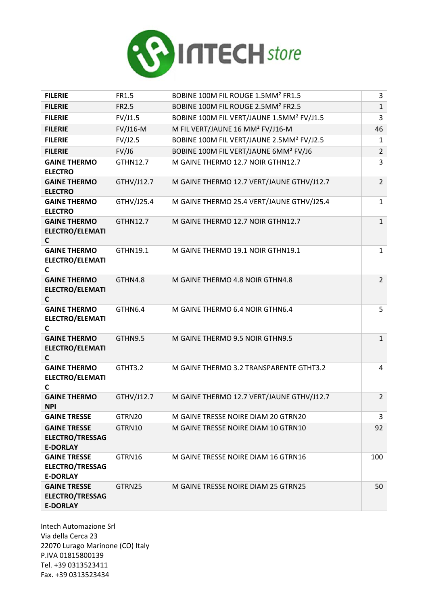

| <b>FILERIE</b>                                                   | FR1.5      | BOBINE 100M FIL ROUGE 1.5MM <sup>2</sup> FR1.5        | 3              |
|------------------------------------------------------------------|------------|-------------------------------------------------------|----------------|
| <b>FILERIE</b>                                                   | FR2.5      | BOBINE 100M FIL ROUGE 2.5MM <sup>2</sup> FR2.5        | $\mathbf{1}$   |
| <b>FILERIE</b>                                                   | FV/J1.5    | BOBINE 100M FIL VERT/JAUNE 1.5MM <sup>2</sup> FV/J1.5 | 3              |
| <b>FILERIE</b>                                                   | FV/J16-M   | M FIL VERT/JAUNE 16 MM <sup>2</sup> FV/J16-M          | 46             |
| <b>FILERIE</b>                                                   | FV/J2.5    | BOBINE 100M FIL VERT/JAUNE 2.5MM <sup>2</sup> FV/J2.5 | $\mathbf{1}$   |
| <b>FILERIE</b>                                                   | FV/J6      | BOBINE 100M FIL VERT/JAUNE 6MM <sup>2</sup> FV/J6     | $\overline{2}$ |
| <b>GAINE THERMO</b><br><b>ELECTRO</b>                            | GTHN12.7   | M GAINE THERMO 12.7 NOIR GTHN12.7                     | 3              |
| <b>GAINE THERMO</b><br><b>ELECTRO</b>                            | GTHV/J12.7 | M GAINE THERMO 12.7 VERT/JAUNE GTHV/J12.7             | $\overline{2}$ |
| <b>GAINE THERMO</b><br><b>ELECTRO</b>                            | GTHV/J25.4 | M GAINE THERMO 25.4 VERT/JAUNE GTHV/J25.4             | $\mathbf{1}$   |
| <b>GAINE THERMO</b><br><b>ELECTRO/ELEMATI</b><br>C               | GTHN12.7   | M GAINE THERMO 12.7 NOIR GTHN12.7                     | $\mathbf{1}$   |
| <b>GAINE THERMO</b><br><b>ELECTRO/ELEMATI</b><br>C               | GTHN19.1   | M GAINE THERMO 19.1 NOIR GTHN19.1                     | 1              |
| <b>GAINE THERMO</b><br><b>ELECTRO/ELEMATI</b><br>C               | GTHN4.8    | M GAINE THERMO 4.8 NOIR GTHN4.8                       | $\overline{2}$ |
| <b>GAINE THERMO</b><br>ELECTRO/ELEMATI<br>C                      | GTHN6.4    | M GAINE THERMO 6.4 NOIR GTHN6.4                       | 5              |
| <b>GAINE THERMO</b><br><b>ELECTRO/ELEMATI</b><br>C               | GTHN9.5    | M GAINE THERMO 9.5 NOIR GTHN9.5                       | $\mathbf{1}$   |
| <b>GAINE THERMO</b><br><b>ELECTRO/ELEMATI</b><br>C               | GTHT3.2    | M GAINE THERMO 3.2 TRANSPARENTE GTHT3.2               | 4              |
| <b>GAINE THERMO</b><br><b>NPI</b>                                | GTHV/J12.7 | M GAINE THERMO 12.7 VERT/JAUNE GTHV/J12.7             | $\overline{2}$ |
| <b>GAINE TRESSE</b>                                              | GTRN20     | M GAINE TRESSE NOIRE DIAM 20 GTRN20                   | 3              |
| <b>GAINE TRESSE</b><br><b>ELECTRO/TRESSAG</b><br><b>E-DORLAY</b> | GTRN10     | M GAINE TRESSE NOIRE DIAM 10 GTRN10                   | 92             |
| <b>GAINE TRESSE</b><br><b>ELECTRO/TRESSAG</b><br><b>E-DORLAY</b> | GTRN16     | M GAINE TRESSE NOIRE DIAM 16 GTRN16                   | 100            |
| <b>GAINE TRESSE</b><br><b>ELECTRO/TRESSAG</b><br><b>E-DORLAY</b> | GTRN25     | M GAINE TRESSE NOIRE DIAM 25 GTRN25                   | 50             |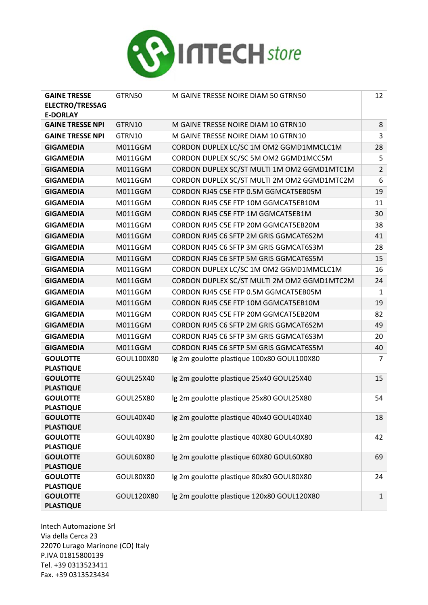

| <b>GAINE TRESSE</b><br><b>ELECTRO/TRESSAG</b>      | GTRN50           | M GAINE TRESSE NOIRE DIAM 50 GTRN50                                        | 12             |
|----------------------------------------------------|------------------|----------------------------------------------------------------------------|----------------|
| <b>E-DORLAY</b>                                    |                  |                                                                            | 8              |
| <b>GAINE TRESSE NPI</b><br><b>GAINE TRESSE NPI</b> | GTRN10<br>GTRN10 | M GAINE TRESSE NOIRE DIAM 10 GTRN10<br>M GAINE TRESSE NOIRE DIAM 10 GTRN10 | 3              |
|                                                    |                  |                                                                            |                |
| <b>GIGAMEDIA</b>                                   | M011GGM          | CORDON DUPLEX LC/SC 1M OM2 GGMD1MMCLC1M                                    | 28             |
| <b>GIGAMEDIA</b>                                   | M011GGM          | CORDON DUPLEX SC/SC 5M OM2 GGMD1MCC5M                                      | 5              |
| <b>GIGAMEDIA</b>                                   | M011GGM          | CORDON DUPLEX SC/ST MULTI 1M OM2 GGMD1MTC1M                                | $\overline{2}$ |
| <b>GIGAMEDIA</b>                                   | M011GGM          | CORDON DUPLEX SC/ST MULTI 2M OM2 GGMD1MTC2M                                | 6              |
| <b>GIGAMEDIA</b>                                   | M011GGM          | CORDON RJ45 C5E FTP 0.5M GGMCAT5EB05M                                      | 19             |
| <b>GIGAMEDIA</b>                                   | M011GGM          | CORDON RJ45 C5E FTP 10M GGMCAT5EB10M                                       | 11             |
| <b>GIGAMEDIA</b>                                   | M011GGM          | CORDON RJ45 C5E FTP 1M GGMCAT5EB1M                                         | 30             |
| <b>GIGAMEDIA</b>                                   | M011GGM          | CORDON RJ45 C5E FTP 20M GGMCAT5EB20M                                       | 38             |
| <b>GIGAMEDIA</b>                                   | M011GGM          | CORDON RJ45 C6 SFTP 2M GRIS GGMCAT6S2M                                     | 41             |
| <b>GIGAMEDIA</b>                                   | M011GGM          | CORDON RJ45 C6 SFTP 3M GRIS GGMCAT6S3M                                     | 28             |
| <b>GIGAMEDIA</b>                                   | M011GGM          | CORDON RJ45 C6 SFTP 5M GRIS GGMCAT6S5M                                     | 15             |
| <b>GIGAMEDIA</b>                                   | M011GGM          | CORDON DUPLEX LC/SC 1M OM2 GGMD1MMCLC1M                                    | 16             |
| <b>GIGAMEDIA</b>                                   | M011GGM          | CORDON DUPLEX SC/ST MULTI 2M OM2 GGMD1MTC2M                                | 24             |
| <b>GIGAMEDIA</b>                                   | M011GGM          | CORDON RJ45 C5E FTP 0.5M GGMCAT5EB05M                                      | $\mathbf{1}$   |
| <b>GIGAMEDIA</b>                                   | M011GGM          | CORDON RJ45 C5E FTP 10M GGMCAT5EB10M                                       | 19             |
| <b>GIGAMEDIA</b>                                   | M011GGM          | CORDON RJ45 C5E FTP 20M GGMCAT5EB20M                                       | 82             |
| <b>GIGAMEDIA</b>                                   | M011GGM          | CORDON RJ45 C6 SFTP 2M GRIS GGMCAT6S2M                                     | 49             |
| <b>GIGAMEDIA</b>                                   | M011GGM          | CORDON RJ45 C6 SFTP 3M GRIS GGMCAT6S3M                                     | 20             |
| <b>GIGAMEDIA</b>                                   | M011GGM          | CORDON RJ45 C6 SFTP 5M GRIS GGMCAT6S5M                                     | 40             |
| <b>GOULOTTE</b><br><b>PLASTIQUE</b>                | GOUL100X80       | Ig 2m goulotte plastique 100x80 GOUL100X80                                 | $\overline{7}$ |
| <b>GOULOTTE</b><br><b>PLASTIQUE</b>                | GOUL25X40        | Ig 2m goulotte plastique 25x40 GOUL25X40                                   | 15             |
| <b>GOULOTTE</b><br><b>PLASTIQUE</b>                | GOUL25X80        | Ig 2m goulotte plastique 25x80 GOUL25X80                                   | 54             |
| <b>GOULOTTE</b><br><b>PLASTIQUE</b>                | GOUL40X40        | Ig 2m goulotte plastique 40x40 GOUL40X40                                   | 18             |
| <b>GOULOTTE</b><br><b>PLASTIQUE</b>                | GOUL40X80        | Ig 2m goulotte plastique 40X80 GOUL40X80                                   | 42             |
| <b>GOULOTTE</b><br><b>PLASTIQUE</b>                | GOUL60X80        | Ig 2m goulotte plastique 60X80 GOUL60X80                                   | 69             |
| <b>GOULOTTE</b><br><b>PLASTIQUE</b>                | GOUL80X80        | Ig 2m goulotte plastique 80x80 GOUL80X80                                   | 24             |
| <b>GOULOTTE</b><br><b>PLASTIQUE</b>                | GOUL120X80       | Ig 2m goulotte plastique 120x80 GOUL120X80                                 | $\mathbf 1$    |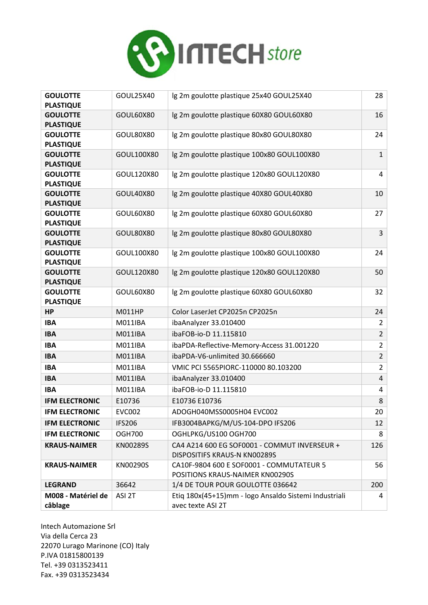

| <b>GOULOTTE</b><br><b>PLASTIQUE</b> | GOUL25X40      | Ig 2m goulotte plastique 25x40 GOUL25X40                                     | 28             |
|-------------------------------------|----------------|------------------------------------------------------------------------------|----------------|
| <b>GOULOTTE</b><br><b>PLASTIQUE</b> | GOUL60X80      | Ig 2m goulotte plastique 60X80 GOUL60X80                                     | 16             |
| <b>GOULOTTE</b><br><b>PLASTIQUE</b> | GOUL80X80      | Ig 2m goulotte plastique 80x80 GOUL80X80                                     | 24             |
| <b>GOULOTTE</b><br><b>PLASTIQUE</b> | GOUL100X80     | Ig 2m goulotte plastique 100x80 GOUL100X80                                   | $\mathbf{1}$   |
| <b>GOULOTTE</b><br><b>PLASTIQUE</b> | GOUL120X80     | Ig 2m goulotte plastique 120x80 GOUL120X80                                   | 4              |
| <b>GOULOTTE</b><br><b>PLASTIQUE</b> | GOUL40X80      | Ig 2m goulotte plastique 40X80 GOUL40X80                                     | 10             |
| <b>GOULOTTE</b><br><b>PLASTIQUE</b> | GOUL60X80      | Ig 2m goulotte plastique 60X80 GOUL60X80                                     | 27             |
| <b>GOULOTTE</b><br><b>PLASTIQUE</b> | GOUL80X80      | Ig 2m goulotte plastique 80x80 GOUL80X80                                     | 3              |
| <b>GOULOTTE</b><br><b>PLASTIQUE</b> | GOUL100X80     | Ig 2m goulotte plastique 100x80 GOUL100X80                                   | 24             |
| <b>GOULOTTE</b><br><b>PLASTIQUE</b> | GOUL120X80     | Ig 2m goulotte plastique 120x80 GOUL120X80                                   | 50             |
| <b>GOULOTTE</b><br><b>PLASTIQUE</b> | GOUL60X80      | Ig 2m goulotte plastique 60X80 GOUL60X80                                     | 32             |
| <b>HP</b>                           | M011HP         | Color LaserJet CP2025n CP2025n                                               | 24             |
| <b>IBA</b>                          | M011IBA        | ibaAnalyzer 33.010400                                                        | $\overline{2}$ |
| <b>IBA</b>                          | <b>M011IBA</b> | ibaFOB-io-D 11.115810                                                        | $\overline{2}$ |
| <b>IBA</b>                          | M011IBA        | ibaPDA-Reflective-Memory-Access 31.001220                                    | $\overline{2}$ |
| <b>IBA</b>                          | <b>M011IBA</b> | ibaPDA-V6-unlimited 30.666660                                                | $\overline{2}$ |
| <b>IBA</b>                          | M011IBA        | VMIC PCI 5565PIORC-110000 80.103200                                          | $\overline{2}$ |
| <b>IBA</b>                          | M011IBA        | ibaAnalyzer 33.010400                                                        | 4              |
| <b>IBA</b>                          | M011IBA        | ibaFOB-io-D 11.115810                                                        | 4              |
| <b>IFM ELECTRONIC</b>               | E10736         | E10736 E10736                                                                | 8              |
| <b>IFM ELECTRONIC</b>               | <b>EVC002</b>  | ADOGH040MSS0005H04 EVC002                                                    | 20             |
| <b>IFM ELECTRONIC</b>               | <b>IFS206</b>  | IFB3004BAPKG/M/US-104-DPO IFS206                                             | 12             |
| <b>IFM ELECTRONIC</b>               | <b>OGH700</b>  | OGHLPKG/US100 OGH700                                                         | 8              |
| <b>KRAUS-NAIMER</b>                 | KN00289S       | CA4 A214 600 EG SOF0001 - COMMUT INVERSEUR +<br>DISPOSITIFS KRAUS-N KN00289S | 126            |
| <b>KRAUS-NAIMER</b>                 | KN00290S       | CA10F-9804 600 E SOF0001 - COMMUTATEUR 5<br>POSITIONS KRAUS-NAIMER KN00290S  | 56             |
| <b>LEGRAND</b>                      | 36642          | 1/4 DE TOUR POUR GOULOTTE 036642                                             | 200            |
| M008 - Matériel de<br>câblage       | ASI 2T         | Etiq 180x(45+15)mm - logo Ansaldo Sistemi Industriali<br>avec texte ASI 2T   | 4              |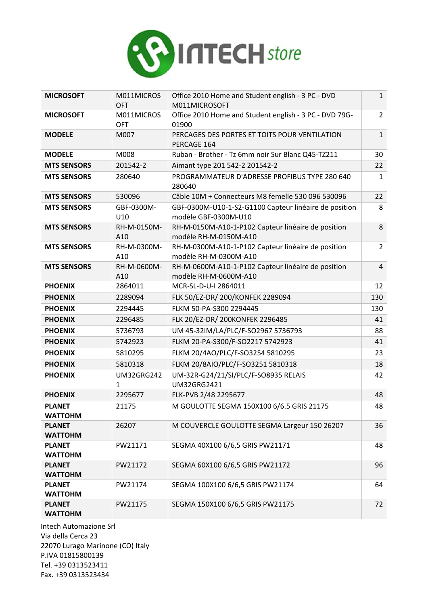

| <b>MICROSOFT</b>                | M011MICROS<br><b>OFT</b> | Office 2010 Home and Student english - 3 PC - DVD<br>M011MICROSOFT            | $\mathbf{1}$   |
|---------------------------------|--------------------------|-------------------------------------------------------------------------------|----------------|
| <b>MICROSOFT</b>                | M011MICROS               | Office 2010 Home and Student english - 3 PC - DVD 79G-                        | $\overline{2}$ |
|                                 | <b>OFT</b>               | 01900                                                                         |                |
| <b>MODELE</b>                   | M007                     | PERCAGES DES PORTES ET TOITS POUR VENTILATION<br>PERCAGE 164                  | $\mathbf{1}$   |
| <b>MODELE</b>                   | M008                     | Ruban - Brother - Tz 6mm noir Sur Blanc Q45-TZ211                             | 30             |
| <b>MTS SENSORS</b>              | 201542-2                 | Aimant type 201 542-2 201542-2                                                | 22             |
| <b>MTS SENSORS</b>              | 280640                   | PROGRAMMATEUR D'ADRESSE PROFIBUS TYPE 280 640<br>280640                       | $\mathbf{1}$   |
| <b>MTS SENSORS</b>              | 530096                   | Câble 10M + Connecteurs M8 femelle 530 096 530096                             | 22             |
| <b>MTS SENSORS</b>              | GBF-0300M-<br>U10        | GBF-0300M-U10-1-S2-G1100 Capteur linéaire de position<br>modèle GBF-0300M-U10 | 8              |
| <b>MTS SENSORS</b>              | RH-M-0150M-<br>A10       | RH-M-0150M-A10-1-P102 Capteur linéaire de position<br>modèle RH-M-0150M-A10   | 8              |
| <b>MTS SENSORS</b>              | RH-M-0300M-<br>A10       | RH-M-0300M-A10-1-P102 Capteur linéaire de position<br>modèle RH-M-0300M-A10   | $\overline{2}$ |
| <b>MTS SENSORS</b>              | RH-M-0600M-<br>A10       | RH-M-0600M-A10-1-P102 Capteur linéaire de position<br>modèle RH-M-0600M-A10   | $\overline{4}$ |
| <b>PHOENIX</b>                  | 2864011                  | MCR-SL-D-U-I 2864011                                                          | 12             |
| <b>PHOENIX</b>                  | 2289094                  | FLK 50/EZ-DR/ 200/KONFEK 2289094                                              | 130            |
| <b>PHOENIX</b>                  | 2294445                  | FLKM 50-PA-S300 2294445                                                       | 130            |
| <b>PHOENIX</b>                  | 2296485                  | FLK 20/EZ-DR/ 200KONFEK 2296485                                               | 41             |
| <b>PHOENIX</b>                  | 5736793                  | UM 45-32IM/LA/PLC/F-SO2967 5736793                                            | 88             |
| <b>PHOENIX</b>                  | 5742923                  | FLKM 20-PA-S300/F-SO2217 5742923                                              | 41             |
| <b>PHOENIX</b>                  | 5810295                  | FLKM 20/4AO/PLC/F-SO3254 5810295                                              | 23             |
| <b>PHOENIX</b>                  | 5810318                  | FLKM 20/8AIO/PLC/F-SO3251 5810318                                             | 18             |
| <b>PHOENIX</b>                  | <b>UM32GRG242</b><br>1   | UM-32R-G24/21/SI/PLC/F-SO8935 RELAIS<br>UM32GRG2421                           | 42             |
| <b>PHOENIX</b>                  | 2295677                  | FLK-PVB 2/48 2295677                                                          | 48             |
| <b>PLANET</b><br><b>WATTOHM</b> | 21175                    | M GOULOTTE SEGMA 150X100 6/6.5 GRIS 21175                                     | 48             |
| <b>PLANET</b><br><b>WATTOHM</b> | 26207                    | M COUVERCLE GOULOTTE SEGMA Largeur 150 26207                                  | 36             |
| <b>PLANET</b><br><b>WATTOHM</b> | PW21171                  | SEGMA 40X100 6/6,5 GRIS PW21171                                               | 48             |
| <b>PLANET</b><br><b>WATTOHM</b> | PW21172                  | SEGMA 60X100 6/6,5 GRIS PW21172                                               | 96             |
| <b>PLANET</b><br><b>WATTOHM</b> | PW21174                  | SEGMA 100X100 6/6,5 GRIS PW21174                                              | 64             |
| <b>PLANET</b><br><b>WATTOHM</b> | PW21175                  | SEGMA 150X100 6/6,5 GRIS PW21175                                              | 72             |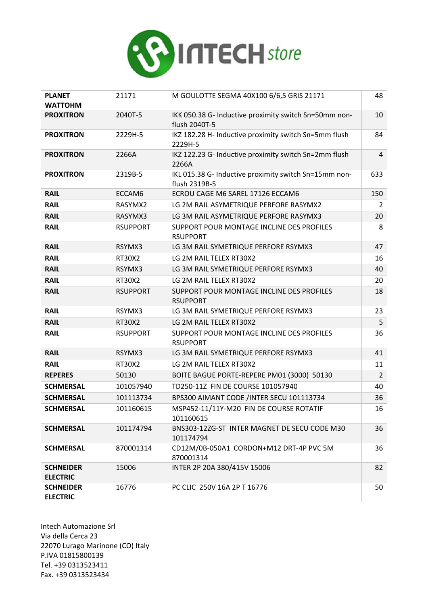

| <b>PLANET</b><br><b>WATTOHM</b>     | 21171           | M GOULOTTE SEGMA 40X100 6/6,5 GRIS 21171                               | 48             |
|-------------------------------------|-----------------|------------------------------------------------------------------------|----------------|
| <b>PROXITRON</b>                    | 2040T-5         | IKK 050.38 G- Inductive proximity switch Sn=50mm non-<br>flush 2040T-5 | 10             |
| <b>PROXITRON</b>                    | 2229H-5         | IKZ 182.28 H- Inductive proximity switch Sn=5mm flush<br>2229H-5       | 84             |
| <b>PROXITRON</b>                    | 2266A           | IKZ 122.23 G- Inductive proximity switch Sn=2mm flush<br>2266A         | 4              |
| <b>PROXITRON</b>                    | 2319B-5         | IKL 015.38 G- Inductive proximity switch Sn=15mm non-<br>flush 2319B-5 | 633            |
| <b>RAIL</b>                         | ECCAM6          | ECROU CAGE M6 SAREL 17126 ECCAM6                                       | 150            |
| <b>RAIL</b>                         | RASYMX2         | LG 2M RAIL ASYMETRIQUE PERFORE RASYMX2                                 | $\overline{2}$ |
| <b>RAIL</b>                         | RASYMX3         | LG 3M RAIL ASYMETRIQUE PERFORE RASYMX3                                 | 20             |
| <b>RAIL</b>                         | <b>RSUPPORT</b> | SUPPORT POUR MONTAGE INCLINE DES PROFILES<br><b>RSUPPORT</b>           | 8              |
| <b>RAIL</b>                         | RSYMX3          | LG 3M RAIL SYMETRIQUE PERFORE RSYMX3                                   | 47             |
| <b>RAIL</b>                         | <b>RT30X2</b>   | LG 2M RAIL TELEX RT30X2                                                | 16             |
| <b>RAIL</b>                         | RSYMX3          | LG 3M RAIL SYMETRIQUE PERFORE RSYMX3                                   | 40             |
| <b>RAIL</b>                         | RT30X2          | LG 2M RAIL TELEX RT30X2                                                | 20             |
| <b>RAIL</b>                         | <b>RSUPPORT</b> | SUPPORT POUR MONTAGE INCLINE DES PROFILES<br><b>RSUPPORT</b>           | 18             |
| <b>RAIL</b>                         | RSYMX3          | LG 3M RAIL SYMETRIQUE PERFORE RSYMX3                                   | 23             |
| <b>RAIL</b>                         | <b>RT30X2</b>   | LG 2M RAIL TELEX RT30X2                                                | 5              |
| <b>RAIL</b>                         | <b>RSUPPORT</b> | SUPPORT POUR MONTAGE INCLINE DES PROFILES<br><b>RSUPPORT</b>           | 36             |
| <b>RAIL</b>                         | RSYMX3          | LG 3M RAIL SYMETRIQUE PERFORE RSYMX3                                   | 41             |
| <b>RAIL</b>                         | RT30X2          | LG 2M RAIL TELEX RT30X2                                                | 11             |
| <b>REPERES</b>                      | 50130           | BOITE BAGUE PORTE-REPERE PM01 (3000) 50130                             | $\overline{2}$ |
| <b>SCHMERSAL</b>                    | 101057940       | TD250-11Z FIN DE COURSE 101057940                                      | 40             |
| <b>SCHMERSAL</b>                    | 101113734       | BPS300 AIMANT CODE /INTER SECU 101113734                               | 36             |
| <b>SCHMERSAL</b>                    | 101160615       | MSP452-11/11Y-M20 FIN DE COURSE ROTATIF<br>101160615                   | 16             |
| <b>SCHMERSAL</b>                    | 101174794       | BNS303-12ZG-ST INTER MAGNET DE SECU CODE M30<br>101174794              | 36             |
| <b>SCHMERSAL</b>                    | 870001314       | CD12M/0B-050A1 CORDON+M12 DRT-4P PVC 5M<br>870001314                   | 36             |
| <b>SCHNEIDER</b><br><b>ELECTRIC</b> | 15006           | INTER 2P 20A 380/415V 15006                                            | 82             |
| <b>SCHNEIDER</b><br><b>ELECTRIC</b> | 16776           | PC CLIC 250V 16A 2P T 16776                                            | 50             |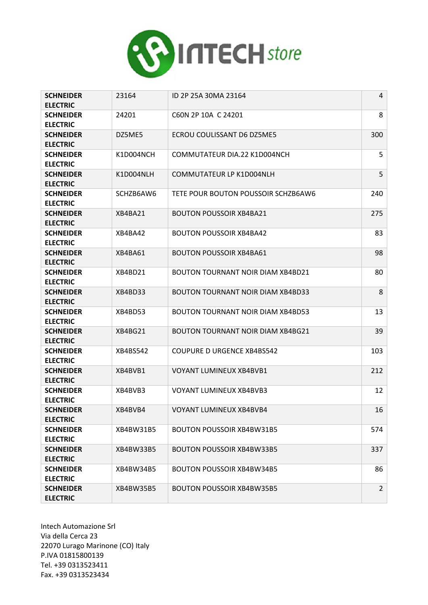

| <b>SCHNEIDER</b><br><b>ELECTRIC</b> | 23164     | ID 2P 25A 30MA 23164                     | 4              |
|-------------------------------------|-----------|------------------------------------------|----------------|
| <b>SCHNEIDER</b><br><b>ELECTRIC</b> | 24201     | C60N 2P 10A C 24201                      | 8              |
| <b>SCHNEIDER</b><br><b>ELECTRIC</b> | DZ5ME5    | ECROU COULISSANT D6 DZ5ME5               | 300            |
| <b>SCHNEIDER</b><br><b>ELECTRIC</b> | K1D004NCH | COMMUTATEUR DIA.22 K1D004NCH             | 5              |
| <b>SCHNEIDER</b><br><b>ELECTRIC</b> | K1D004NLH | COMMUTATEUR LP K1D004NLH                 | 5              |
| <b>SCHNEIDER</b><br><b>ELECTRIC</b> | SCHZB6AW6 | TETE POUR BOUTON POUSSOIR SCHZB6AW6      | 240            |
| <b>SCHNEIDER</b><br><b>ELECTRIC</b> | XB4BA21   | <b>BOUTON POUSSOIR XB4BA21</b>           | 275            |
| <b>SCHNEIDER</b><br><b>ELECTRIC</b> | XB4BA42   | <b>BOUTON POUSSOIR XB4BA42</b>           | 83             |
| <b>SCHNEIDER</b><br><b>ELECTRIC</b> | XB4BA61   | <b>BOUTON POUSSOIR XB4BA61</b>           | 98             |
| <b>SCHNEIDER</b><br><b>ELECTRIC</b> | XB4BD21   | <b>BOUTON TOURNANT NOIR DIAM XB4BD21</b> | 80             |
| <b>SCHNEIDER</b><br><b>ELECTRIC</b> | XB4BD33   | <b>BOUTON TOURNANT NOIR DIAM XB4BD33</b> | 8              |
| <b>SCHNEIDER</b><br><b>ELECTRIC</b> | XB4BD53   | <b>BOUTON TOURNANT NOIR DIAM XB4BD53</b> | 13             |
| <b>SCHNEIDER</b><br><b>ELECTRIC</b> | XB4BG21   | <b>BOUTON TOURNANT NOIR DIAM XB4BG21</b> | 39             |
| <b>SCHNEIDER</b><br><b>ELECTRIC</b> | XB4BS542  | <b>COUPURE D URGENCE XB4BS542</b>        | 103            |
| <b>SCHNEIDER</b><br><b>ELECTRIC</b> | XB4BVB1   | <b>VOYANT LUMINEUX XB4BVB1</b>           | 212            |
| <b>SCHNEIDER</b><br><b>ELECTRIC</b> | XB4BVB3   | <b>VOYANT LUMINEUX XB4BVB3</b>           | 12             |
| <b>SCHNEIDER</b><br><b>ELECTRIC</b> | XB4BVB4   | VOYANT LUMINEUX XB4BVB4                  | 16             |
| <b>SCHNEIDER</b><br><b>ELECTRIC</b> | XB4BW31B5 | <b>BOUTON POUSSOIR XB4BW31B5</b>         | 574            |
| <b>SCHNEIDER</b><br><b>ELECTRIC</b> | XB4BW33B5 | <b>BOUTON POUSSOIR XB4BW33B5</b>         | 337            |
| <b>SCHNEIDER</b><br><b>ELECTRIC</b> | XB4BW34B5 | <b>BOUTON POUSSOIR XB4BW34B5</b>         | 86             |
| <b>SCHNEIDER</b><br><b>ELECTRIC</b> | XB4BW35B5 | <b>BOUTON POUSSOIR XB4BW35B5</b>         | $\overline{2}$ |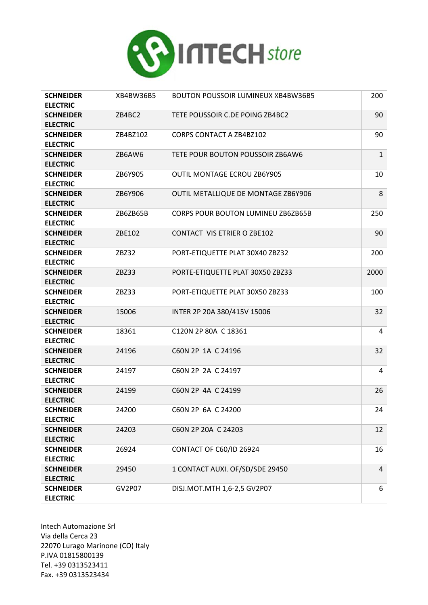

| <b>SCHNEIDER</b><br><b>ELECTRIC</b> | XB4BW36B5 | <b>BOUTON POUSSOIR LUMINEUX XB4BW36B5</b> | 200            |
|-------------------------------------|-----------|-------------------------------------------|----------------|
| <b>SCHNEIDER</b><br><b>ELECTRIC</b> | ZB4BC2    | TETE POUSSOIR C.DE POING ZB4BC2           | 90             |
| <b>SCHNEIDER</b><br><b>ELECTRIC</b> | ZB4BZ102  | <b>CORPS CONTACT A ZB4BZ102</b>           | 90             |
| <b>SCHNEIDER</b><br><b>ELECTRIC</b> | ZB6AW6    | TETE POUR BOUTON POUSSOIR ZB6AW6          | $\mathbf{1}$   |
| <b>SCHNEIDER</b><br><b>ELECTRIC</b> | ZB6Y905   | <b>OUTIL MONTAGE ECROU ZB6Y905</b>        | 10             |
| <b>SCHNEIDER</b><br><b>ELECTRIC</b> | ZB6Y906   | OUTIL METALLIQUE DE MONTAGE ZB6Y906       | 8              |
| <b>SCHNEIDER</b><br><b>ELECTRIC</b> | ZB6ZB65B  | <b>CORPS POUR BOUTON LUMINEU ZB6ZB65B</b> | 250            |
| <b>SCHNEIDER</b><br><b>ELECTRIC</b> | ZBE102    | <b>CONTACT VIS ETRIER O ZBE102</b>        | 90             |
| <b>SCHNEIDER</b><br><b>ELECTRIC</b> | ZBZ32     | PORT-ETIQUETTE PLAT 30X40 ZBZ32           | 200            |
| <b>SCHNEIDER</b><br><b>ELECTRIC</b> | ZBZ33     | PORTE-ETIQUETTE PLAT 30X50 ZBZ33          | 2000           |
| <b>SCHNEIDER</b><br><b>ELECTRIC</b> | ZBZ33     | PORT-ETIQUETTE PLAT 30X50 ZBZ33           | 100            |
| <b>SCHNEIDER</b><br><b>ELECTRIC</b> | 15006     | INTER 2P 20A 380/415V 15006               | 32             |
| <b>SCHNEIDER</b><br><b>ELECTRIC</b> | 18361     | C120N 2P 80A C 18361                      | 4              |
| <b>SCHNEIDER</b><br><b>ELECTRIC</b> | 24196     | C60N 2P 1A C 24196                        | 32             |
| <b>SCHNEIDER</b><br><b>ELECTRIC</b> | 24197     | C60N 2P 2A C 24197                        | 4              |
| <b>SCHNEIDER</b><br><b>ELECTRIC</b> | 24199     | C60N 2P 4A C 24199                        | 26             |
| <b>SCHNEIDER</b><br><b>ELECTRIC</b> | 24200     | C60N 2P 6A C 24200                        | 24             |
| <b>SCHNEIDER</b><br><b>ELECTRIC</b> | 24203     | C60N 2P 20A C 24203                       | 12             |
| <b>SCHNEIDER</b><br><b>ELECTRIC</b> | 26924     | <b>CONTACT OF C60/ID 26924</b>            | 16             |
| <b>SCHNEIDER</b><br><b>ELECTRIC</b> | 29450     | 1 CONTACT AUXI. OF/SD/SDE 29450           | $\overline{4}$ |
| <b>SCHNEIDER</b><br><b>ELECTRIC</b> | GV2P07    | DISJ.MOT.MTH 1,6-2,5 GV2P07               | 6              |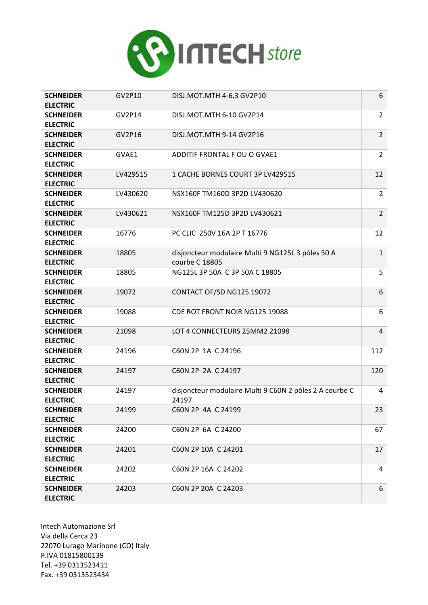

| <b>SCHNEIDER</b><br><b>ELECTRIC</b> | GV2P10   | DISJ.MOT.MTH 4-6,3 GV2P10                                           | 6              |
|-------------------------------------|----------|---------------------------------------------------------------------|----------------|
| <b>SCHNEIDER</b><br><b>ELECTRIC</b> | GV2P14   | DISJ.MOT.MTH 6-10 GV2P14                                            | $\overline{2}$ |
| <b>SCHNEIDER</b><br><b>ELECTRIC</b> | GV2P16   | DISJ.MOT.MTH 9-14 GV2P16                                            | $\overline{2}$ |
| <b>SCHNEIDER</b><br><b>ELECTRIC</b> | GVAE1    | ADDITIF FRONTAL F OU O GVAE1                                        | $\overline{2}$ |
| <b>SCHNEIDER</b><br><b>ELECTRIC</b> | LV429515 | 1 CACHE BORNES COURT 3P LV429515                                    | 12             |
| <b>SCHNEIDER</b><br><b>ELECTRIC</b> | LV430620 | NSX160F TM160D 3P2D LV430620                                        | $\overline{2}$ |
| <b>SCHNEIDER</b><br><b>ELECTRIC</b> | LV430621 | NSX160F TM125D 3P2D LV430621                                        | $\overline{2}$ |
| <b>SCHNEIDER</b><br><b>ELECTRIC</b> | 16776    | PC CLIC 250V 16A 2P T 16776                                         | 12             |
| <b>SCHNEIDER</b><br><b>ELECTRIC</b> | 18805    | disjoncteur modulaire Multi 9 NG125L 3 pôles 50 A<br>courbe C 18805 | $\mathbf{1}$   |
| <b>SCHNEIDER</b><br><b>ELECTRIC</b> | 18805    | NG125L 3P 50A C 3P 50A C 18805                                      | 5              |
| <b>SCHNEIDER</b><br><b>ELECTRIC</b> | 19072    | CONTACT OF/SD NG125 19072                                           | 6              |
| <b>SCHNEIDER</b><br><b>ELECTRIC</b> | 19088    | CDE ROT FRONT NOIR NG125 19088                                      | 6              |
| <b>SCHNEIDER</b><br><b>ELECTRIC</b> | 21098    | LOT 4 CONNECTEURS 25MM2 21098                                       | $\overline{4}$ |
| <b>SCHNEIDER</b><br><b>ELECTRIC</b> | 24196    | C60N 2P 1A C 24196                                                  | 112            |
| <b>SCHNEIDER</b><br><b>ELECTRIC</b> | 24197    | C60N 2P 2A C 24197                                                  | 120            |
| <b>SCHNEIDER</b><br><b>ELECTRIC</b> | 24197    | disjoncteur modulaire Multi 9 C60N 2 pôles 2 A courbe C<br>24197    | 4              |
| <b>SCHNEIDER</b><br><b>ELECTRIC</b> | 24199    | C60N 2P 4A C 24199                                                  | 23             |
| <b>SCHNEIDER</b><br><b>ELECTRIC</b> | 24200    | C60N 2P 6A C 24200                                                  | 67             |
| <b>SCHNEIDER</b><br><b>ELECTRIC</b> | 24201    | C60N 2P 10A C 24201                                                 | 17             |
| <b>SCHNEIDER</b><br><b>ELECTRIC</b> | 24202    | C60N 2P 16A C 24202                                                 | 4              |
| <b>SCHNEIDER</b><br><b>ELECTRIC</b> | 24203    | C60N 2P 20A C 24203                                                 | 6              |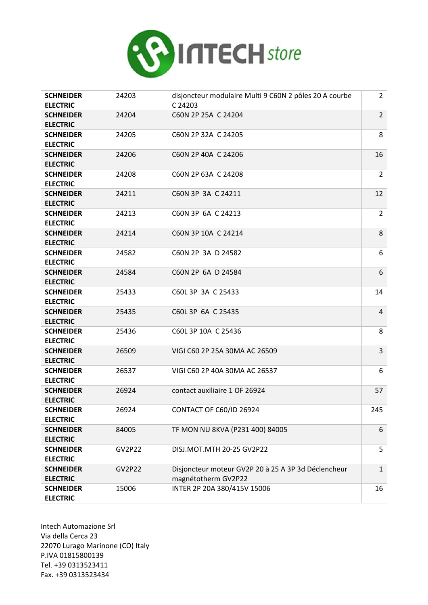

| <b>SCHNEIDER</b><br><b>ELECTRIC</b> | 24203         | disjoncteur modulaire Multi 9 C60N 2 pôles 20 A courbe<br>C 24203          | $\overline{2}$ |
|-------------------------------------|---------------|----------------------------------------------------------------------------|----------------|
| <b>SCHNEIDER</b><br><b>ELECTRIC</b> | 24204         | C60N 2P 25A C 24204                                                        | $\overline{2}$ |
| <b>SCHNEIDER</b><br><b>ELECTRIC</b> | 24205         | C60N 2P 32A C 24205                                                        | 8              |
| <b>SCHNEIDER</b><br><b>ELECTRIC</b> | 24206         | C60N 2P 40A C 24206                                                        | 16             |
| <b>SCHNEIDER</b><br><b>ELECTRIC</b> | 24208         | C60N 2P 63A C 24208                                                        | $\overline{2}$ |
| <b>SCHNEIDER</b><br><b>ELECTRIC</b> | 24211         | C60N 3P 3A C 24211                                                         | 12             |
| <b>SCHNEIDER</b><br><b>ELECTRIC</b> | 24213         | C60N 3P 6A C 24213                                                         | $\overline{2}$ |
| <b>SCHNEIDER</b><br><b>ELECTRIC</b> | 24214         | C60N 3P 10A C 24214                                                        | 8              |
| <b>SCHNEIDER</b><br><b>ELECTRIC</b> | 24582         | C60N 2P 3A D 24582                                                         | 6              |
| <b>SCHNEIDER</b><br><b>ELECTRIC</b> | 24584         | C60N 2P 6A D 24584                                                         | 6              |
| <b>SCHNEIDER</b><br><b>ELECTRIC</b> | 25433         | C60L 3P 3A C 25433                                                         | 14             |
| <b>SCHNEIDER</b><br><b>ELECTRIC</b> | 25435         | C60L 3P 6A C 25435                                                         | $\overline{4}$ |
| <b>SCHNEIDER</b><br><b>ELECTRIC</b> | 25436         | C60L 3P 10A C 25436                                                        | 8              |
| <b>SCHNEIDER</b><br><b>ELECTRIC</b> | 26509         | VIGI C60 2P 25A 30MA AC 26509                                              | 3              |
| <b>SCHNEIDER</b><br><b>ELECTRIC</b> | 26537         | VIGI C60 2P 40A 30MA AC 26537                                              | 6              |
| <b>SCHNEIDER</b><br><b>ELECTRIC</b> | 26924         | contact auxiliaire 1 OF 26924                                              | 57             |
| <b>SCHNEIDER</b><br><b>ELECTRIC</b> | 26924         | CONTACT OF C60/ID 26924                                                    | 245            |
| <b>SCHNEIDER</b><br><b>ELECTRIC</b> | 84005         | TF MON NU 8KVA (P231 400) 84005                                            | 6              |
| <b>SCHNEIDER</b><br><b>ELECTRIC</b> | <b>GV2P22</b> | DISJ.MOT.MTH 20-25 GV2P22                                                  | 5              |
| <b>SCHNEIDER</b><br><b>ELECTRIC</b> | <b>GV2P22</b> | Disjoncteur moteur GV2P 20 à 25 A 3P 3d Déclencheur<br>magnétotherm GV2P22 | $\mathbf{1}$   |
| <b>SCHNEIDER</b><br><b>ELECTRIC</b> | 15006         | INTER 2P 20A 380/415V 15006                                                | 16             |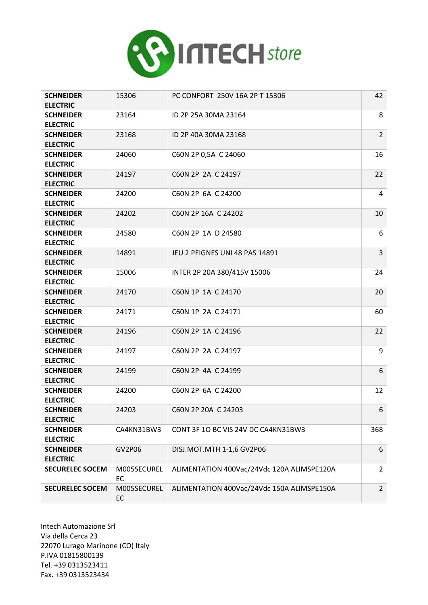

| <b>SCHNEIDER</b><br><b>ELECTRIC</b> | 15306             | PC CONFORT 250V 16A 2P T 15306             | 42             |
|-------------------------------------|-------------------|--------------------------------------------|----------------|
| <b>SCHNEIDER</b><br><b>ELECTRIC</b> | 23164             | ID 2P 25A 30MA 23164                       | 8              |
| <b>SCHNEIDER</b><br><b>ELECTRIC</b> | 23168             | ID 2P 40A 30MA 23168                       | $\overline{2}$ |
| <b>SCHNEIDER</b><br><b>ELECTRIC</b> | 24060             | C60N 2P 0,5A C 24060                       | 16             |
| <b>SCHNEIDER</b><br><b>ELECTRIC</b> | 24197             | C60N 2P 2A C 24197                         | 22             |
| <b>SCHNEIDER</b><br><b>ELECTRIC</b> | 24200             | C60N 2P 6A C 24200                         | 4              |
| <b>SCHNEIDER</b><br><b>ELECTRIC</b> | 24202             | C60N 2P 16A C 24202                        | 10             |
| <b>SCHNEIDER</b><br><b>ELECTRIC</b> | 24580             | C60N 2P 1A D 24580                         | 6              |
| <b>SCHNEIDER</b><br><b>ELECTRIC</b> | 14891             | JEU 2 PEIGNES UNI 48 PAS 14891             | 3              |
| <b>SCHNEIDER</b><br><b>ELECTRIC</b> | 15006             | INTER 2P 20A 380/415V 15006                | 24             |
| <b>SCHNEIDER</b><br><b>ELECTRIC</b> | 24170             | C60N 1P 1A C 24170                         | 20             |
| <b>SCHNEIDER</b><br><b>ELECTRIC</b> | 24171             | C60N 1P 2A C 24171                         | 60             |
| <b>SCHNEIDER</b><br><b>ELECTRIC</b> | 24196             | C60N 2P 1A C 24196                         | 22             |
| <b>SCHNEIDER</b><br><b>ELECTRIC</b> | 24197             | C60N 2P 2A C 24197                         | 9              |
| <b>SCHNEIDER</b><br><b>ELECTRIC</b> | 24199             | C60N 2P 4A C 24199                         | 6              |
| <b>SCHNEIDER</b><br><b>ELECTRIC</b> | 24200             | C60N 2P 6A C 24200                         | 12             |
| <b>SCHNEIDER</b><br><b>ELECTRIC</b> | 24203             | C60N 2P 20A C 24203                        | 6              |
| <b>SCHNEIDER</b><br><b>ELECTRIC</b> | CA4KN31BW3        | CONT 3F 10 BC VIS 24V DC CA4KN31BW3        | 368            |
| <b>SCHNEIDER</b><br><b>ELECTRIC</b> | GV2P06            | DISJ.MOT.MTH 1-1,6 GV2P06                  | 6              |
| <b>SECURELEC SOCEM</b>              | M005SECUREL<br>EC | ALIMENTATION 400Vac/24Vdc 120A ALIMSPE120A | $\overline{2}$ |
| <b>SECURELEC SOCEM</b>              | M005SECUREL<br>EC | ALIMENTATION 400Vac/24Vdc 150A ALIMSPE150A | $\overline{2}$ |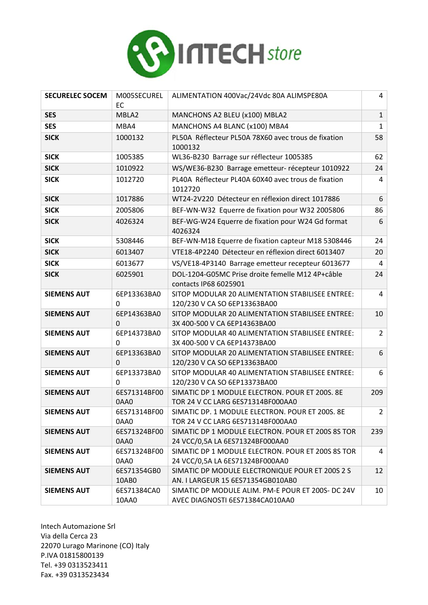

| <b>SECURELEC SOCEM</b> | M005SECUREL<br><b>EC</b> | ALIMENTATION 400Vac/24Vdc 80A ALIMSPE80A                                             | 4              |
|------------------------|--------------------------|--------------------------------------------------------------------------------------|----------------|
| <b>SES</b>             | MBLA2                    | MANCHONS A2 BLEU (x100) MBLA2                                                        | $\mathbf{1}$   |
| <b>SES</b>             | MBA4                     | MANCHONS A4 BLANC (x100) MBA4                                                        | $\mathbf{1}$   |
| <b>SICK</b>            | 1000132                  | PL50A Réflecteur PL50A 78X60 avec trous de fixation<br>1000132                       | 58             |
| <b>SICK</b>            | 1005385                  | WL36-B230 Barrage sur réflecteur 1005385                                             | 62             |
| <b>SICK</b>            | 1010922                  | WS/WE36-B230 Barrage emetteur- récepteur 1010922                                     | 24             |
| <b>SICK</b>            | 1012720                  | PL40A Réflecteur PL40A 60X40 avec trous de fixation<br>1012720                       | 4              |
| <b>SICK</b>            | 1017886                  | WT24-2V220 Détecteur en réflexion direct 1017886                                     | 6              |
| <b>SICK</b>            | 2005806                  | BEF-WN-W32 Equerre de fixation pour W32 2005806                                      | 86             |
| <b>SICK</b>            | 4026324                  | BEF-WG-W24 Equerre de fixation pour W24 Gd format<br>4026324                         | 6              |
| <b>SICK</b>            | 5308446                  | BEF-WN-M18 Equerre de fixation capteur M18 5308446                                   | 24             |
| <b>SICK</b>            | 6013407                  | VTE18-4P2240 Détecteur en réflexion direct 6013407                                   | 20             |
| <b>SICK</b>            | 6013677                  | VS/VE18-4P3140 Barrage emetteur recepteur 6013677                                    | 4              |
| <b>SICK</b>            | 6025901                  | DOL-1204-G05MC Prise droite femelle M12 4P+câble<br>contacts IP68 6025901            | 24             |
| <b>SIEMENS AUT</b>     | 6EP13363BA0<br>0         | SITOP MODULAR 20 ALIMENTATION STABILISEE ENTREE:<br>120/230 V CA SO 6EP13363BA00     | 4              |
| <b>SIEMENS AUT</b>     | 6EP14363BA0<br>0         | SITOP MODULAR 20 ALIMENTATION STABILISEE ENTREE:<br>3X 400-500 V CA 6EP14363BA00     | 10             |
| <b>SIEMENS AUT</b>     | 6EP14373BA0<br>$\Omega$  | SITOP MODULAR 40 ALIMENTATION STABILISEE ENTREE:<br>3X 400-500 V CA 6EP14373BA00     | $\overline{2}$ |
| <b>SIEMENS AUT</b>     | 6EP13363BA0<br>0         | SITOP MODULAR 20 ALIMENTATION STABILISEE ENTREE:<br>120/230 V CA SO 6EP13363BA00     | 6              |
| <b>SIEMENS AUT</b>     | 6EP13373BA0<br>$\Omega$  | SITOP MODULAR 40 ALIMENTATION STABILISEE ENTREE:<br>120/230 V CA SO 6EP13373BA00     | 6              |
| <b>SIEMENS AUT</b>     | 6ES71314BF00<br>0AA0     | SIMATIC DP 1 MODULE ELECTRON. POUR ET 200S. 8E<br>TOR 24 V CC LARG 6ES71314BF000AA0  | 209            |
| <b>SIEMENS AUT</b>     | 6ES71314BF00<br>0AA0     | SIMATIC DP. 1 MODULE ELECTRON. POUR ET 200S. 8E<br>TOR 24 V CC LARG 6ES71314BF000AA0 | $\overline{2}$ |
| <b>SIEMENS AUT</b>     | 6ES71324BF00<br>0AA0     | SIMATIC DP 1 MODULE ELECTRON. POUR ET 200S 8S TOR<br>24 VCC/0,5A LA 6ES71324BF000AA0 | 239            |
| <b>SIEMENS AUT</b>     | 6ES71324BF00<br>0AA0     | SIMATIC DP 1 MODULE ELECTRON. POUR ET 200S 8S TOR<br>24 VCC/0,5A LA 6ES71324BF000AA0 | 4              |
| <b>SIEMENS AUT</b>     | 6ES71354GB0<br>10AB0     | SIMATIC DP MODULE ELECTRONIQUE POUR ET 200S 2 S<br>AN. I LARGEUR 15 6ES71354GB010AB0 | 12             |
| <b>SIEMENS AUT</b>     | 6ES71384CA0<br>10AA0     | SIMATIC DP MODULE ALIM. PM-E POUR ET 200S- DC 24V<br>AVEC DIAGNOSTI 6ES71384CA010AA0 | 10             |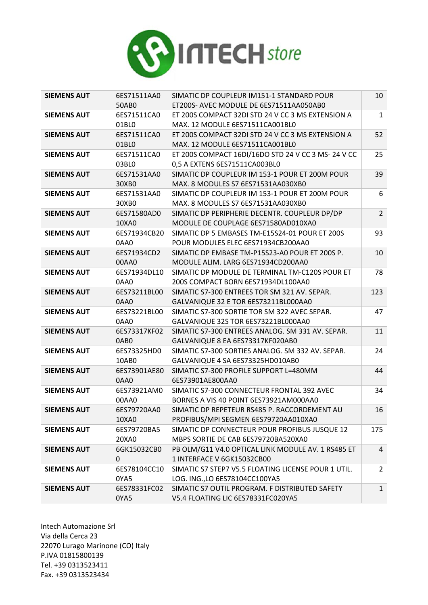

| <b>SIEMENS AUT</b> | 6ES71511AA0          | SIMATIC DP COUPLEUR IM151-1 STANDARD POUR                                            | 10             |
|--------------------|----------------------|--------------------------------------------------------------------------------------|----------------|
|                    | 50AB0                | ET200S- AVEC MODULE DE 6ES71511AA050AB0                                              |                |
| <b>SIEMENS AUT</b> | 6ES71511CA0          | ET 200S COMPACT 32DI STD 24 V CC 3 MS EXTENSION A                                    | $\mathbf{1}$   |
|                    | 01BL0                | MAX. 12 MODULE 6ES71511CA001BL0                                                      |                |
| <b>SIEMENS AUT</b> | 6ES71511CA0          | ET 200S COMPACT 32DI STD 24 V CC 3 MS EXTENSION A                                    | 52             |
|                    | 01BL0                | MAX. 12 MODULE 6ES71511CA001BL0                                                      |                |
| <b>SIEMENS AUT</b> | 6ES71511CA0          | ET 200S COMPACT 16DI/16DO STD 24 V CC 3 MS- 24 V CC                                  | 25             |
|                    | 03BLO                | 0,5 A EXTENS 6ES71511CA003BL0                                                        |                |
| <b>SIEMENS AUT</b> | 6ES71531AA0          | SIMATIC DP COUPLEUR IM 153-1 POUR ET 200M POUR                                       | 39             |
|                    | 30XB0                | MAX. 8 MODULES S7 6ES71531AA030XB0                                                   |                |
| <b>SIEMENS AUT</b> | 6ES71531AA0          | SIMATIC DP COUPLEUR IM 153-1 POUR ET 200M POUR                                       | 6              |
|                    | 30XB0                | MAX. 8 MODULES S7 6ES71531AA030XB0                                                   |                |
| <b>SIEMENS AUT</b> | 6ES71580AD0          | SIMATIC DP PERIPHERIE DECENTR. COUPLEUR DP/DP                                        | $\overline{2}$ |
|                    | 10XA0                | MODULE DE COUPLAGE 6ES71580AD010XA0                                                  |                |
| <b>SIEMENS AUT</b> | 6ES71934CB20         | SIMATIC DP 5 EMBASES TM-E15S24-01 POUR ET 200S                                       | 93             |
|                    | 0AA0                 | POUR MODULES ELEC 6ES71934CB200AA0                                                   |                |
| <b>SIEMENS AUT</b> | 6ES71934CD2          | SIMATIC DP EMBASE TM-P15S23-A0 POUR ET 200S P.                                       | 10             |
|                    | 00AA0                | MODULE ALIM. LARG 6ES71934CD200AA0                                                   |                |
| <b>SIEMENS AUT</b> | 6ES71934DL10         | SIMATIC DP MODULE DE TERMINAL TM-C120S POUR ET                                       | 78             |
|                    | 0AA0                 | 200S COMPACT BORN 6ES71934DL100AA0                                                   |                |
| <b>SIEMENS AUT</b> | 6ES73211BL00         | SIMATIC S7-300 ENTREES TOR SM 321 AV. SEPAR.                                         | 123            |
|                    | 0AA0                 | GALVANIQUE 32 E TOR 6ES73211BL000AA0                                                 |                |
| <b>SIEMENS AUT</b> | 6ES73221BL00         | SIMATIC S7-300 SORTIE TOR SM 322 AVEC SEPAR.                                         | 47             |
|                    | 0AA0                 | GALVANIQUE 32S TOR 6ES73221BL000AA0                                                  |                |
| <b>SIEMENS AUT</b> | 6ES73317KF02         | SIMATIC S7-300 ENTREES ANALOG. SM 331 AV. SEPAR.                                     | 11             |
|                    | 0AB <sub>0</sub>     | GALVANIQUE 8 EA 6ES73317KF020AB0                                                     |                |
| <b>SIEMENS AUT</b> | 6ES73325HD0          | SIMATIC S7-300 SORTIES ANALOG. SM 332 AV. SEPAR.                                     | 24             |
|                    | 10AB0                | GALVANIQUE 4 SA 6ES73325HD010AB0                                                     |                |
| <b>SIEMENS AUT</b> | 6ES73901AE80         | SIMATIC S7-300 PROFILE SUPPORT L=480MM                                               | 44             |
|                    | 0AA0                 | 6ES73901AE800AA0                                                                     |                |
| <b>SIEMENS AUT</b> | 6ES73921AM0          | SIMATIC S7-300 CONNECTEUR FRONTAL 392 AVEC                                           | 34             |
|                    | 00AA0                | BORNES A VIS 40 POINT 6ES73921AM000AA0                                               |                |
| <b>SIEMENS AUT</b> | 6ES79720AA0          | SIMATIC DP REPETEUR RS485 P. RACCORDEMENT AU                                         | 16             |
|                    | 10XA0                | PROFIBUS/MPI SEGMEN 6ES79720AA010XA0                                                 |                |
| <b>SIEMENS AUT</b> | 6ES79720BA5          | SIMATIC DP CONNECTEUR POUR PROFIBUS JUSQUE 12                                        | 175            |
|                    | 20XA0                | MBPS SORTIE DE CAB 6ES79720BA520XA0                                                  |                |
| <b>SIEMENS AUT</b> | 6GK15032CB0          | PB OLM/G11 V4.0 OPTICAL LINK MODULE AV. 1 RS485 ET                                   | $\overline{4}$ |
|                    | $\mathbf 0$          | 1 INTERFACE V 6GK15032CB00                                                           |                |
| <b>SIEMENS AUT</b> | 6ES78104CC10         | SIMATIC S7 STEP7 V5.5 FLOATING LICENSE POUR 1 UTIL.                                  | $\overline{2}$ |
|                    | 0YA5                 | LOG. ING., LO 6ES78104CC100YA5                                                       |                |
| <b>SIEMENS AUT</b> | 6ES78331FC02<br>0YA5 | SIMATIC S7 OUTIL PROGRAM. F DISTRIBUTED SAFETY<br>V5.4 FLOATING LIC 6ES78331FC020YA5 | $\mathbf{1}$   |
|                    |                      |                                                                                      |                |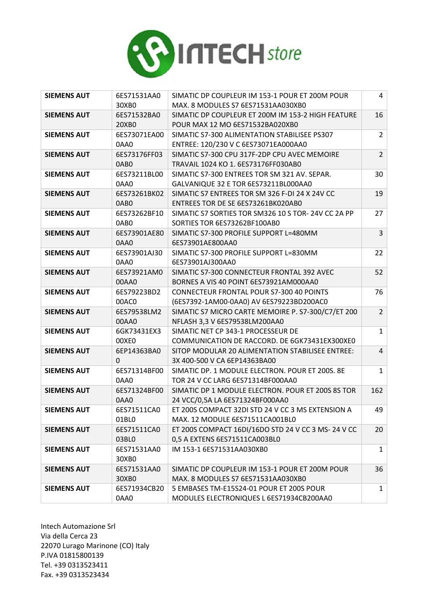

| <b>SIEMENS AUT</b> | 6ES71531AA0      | SIMATIC DP COUPLEUR IM 153-1 POUR ET 200M POUR      | 4              |
|--------------------|------------------|-----------------------------------------------------|----------------|
|                    | 30XB0            | MAX. 8 MODULES S7 6ES71531AA030XB0                  |                |
| <b>SIEMENS AUT</b> | 6ES71532BA0      | SIMATIC DP COUPLEUR ET 200M IM 153-2 HIGH FEATURE   | 16             |
|                    | 20XB0            | POUR MAX 12 MO 6ES71532BA020XB0                     |                |
| <b>SIEMENS AUT</b> | 6ES73071EA00     | SIMATIC S7-300 ALIMENTATION STABILISEE PS307        | $\overline{2}$ |
|                    | 0AA0             | ENTREE: 120/230 V C 6ES73071EA000AA0                |                |
| <b>SIEMENS AUT</b> | 6ES73176FF03     | SIMATIC S7-300 CPU 317F-2DP CPU AVEC MEMOIRE        | $\overline{2}$ |
|                    | 0AB <sub>0</sub> | TRAVAIL 1024 KO 1. 6ES73176FF030AB0                 |                |
| <b>SIEMENS AUT</b> | 6ES73211BL00     | SIMATIC S7-300 ENTREES TOR SM 321 AV. SEPAR.        | 30             |
|                    | 0AA0             | GALVANIQUE 32 E TOR 6ES73211BL000AA0                |                |
| <b>SIEMENS AUT</b> | 6ES73261BK02     | SIMATIC S7 ENTREES TOR SM 326 F-DI 24 X 24V CC      | 19             |
|                    | 0AB <sub>0</sub> | ENTREES TOR DE SE 6ES73261BK020AB0                  |                |
| <b>SIEMENS AUT</b> | 6ES73262BF10     | SIMATIC S7 SORTIES TOR SM326 10 S TOR- 24V CC 2A PP | 27             |
|                    | 0AB0             | SORTIES TOR 6ES73262BF100AB0                        |                |
| <b>SIEMENS AUT</b> | 6ES73901AE80     | SIMATIC S7-300 PROFILE SUPPORT L=480MM              | 3              |
|                    | 0AA0             | 6ES73901AE800AA0                                    |                |
| <b>SIEMENS AUT</b> | 6ES73901AJ30     | SIMATIC S7-300 PROFILE SUPPORT L=830MM              | 22             |
|                    | 0AA0             | 6ES73901AJ300AA0                                    |                |
| <b>SIEMENS AUT</b> | 6ES73921AM0      | SIMATIC S7-300 CONNECTEUR FRONTAL 392 AVEC          | 52             |
|                    | 00AA0            | BORNES A VIS 40 POINT 6ES73921AM000AA0              |                |
| <b>SIEMENS AUT</b> | 6ES79223BD2      | <b>CONNECTEUR FRONTAL POUR S7-300 40 POINTS</b>     | 76             |
|                    | 00AC0            | (6ES7392-1AM00-0AA0) AV 6ES79223BD200AC0            |                |
| <b>SIEMENS AUT</b> | 6ES79538LM2      | SIMATIC S7 MICRO CARTE MEMOIRE P. S7-300/C7/ET 200  | $\overline{2}$ |
|                    | 00AA0            | NFLASH 3,3 V 6ES79538LM200AA0                       |                |
| <b>SIEMENS AUT</b> | 6GK73431EX3      | SIMATIC NET CP 343-1 PROCESSEUR DE                  | $\mathbf{1}$   |
|                    | 00XE0            | COMMUNICATION DE RACCORD. DE 6GK73431EX300XE0       |                |
| <b>SIEMENS AUT</b> | 6EP14363BA0      | SITOP MODULAR 20 ALIMENTATION STABILISEE ENTREE:    | $\overline{4}$ |
|                    | $\Omega$         | 3X 400-500 V CA 6EP14363BA00                        |                |
| <b>SIEMENS AUT</b> | 6ES71314BF00     | SIMATIC DP. 1 MODULE ELECTRON. POUR ET 200S. 8E     | $\mathbf{1}$   |
|                    | 0AA0             | TOR 24 V CC LARG 6ES71314BF000AA0                   |                |
| <b>SIEMENS AUT</b> | 6ES71324BF00     | SIMATIC DP 1 MODULE ELECTRON. POUR ET 200S 8S TOR   | 162            |
|                    | 0AA0             | 24 VCC/0,5A LA 6ES71324BF000AA0                     |                |
| <b>SIEMENS AUT</b> | 6ES71511CA0      | ET 200S COMPACT 32DI STD 24 V CC 3 MS EXTENSION A   | 49             |
|                    | 01BLO            | MAX. 12 MODULE 6ES71511CA001BL0                     |                |
| <b>SIEMENS AUT</b> | 6ES71511CA0      | ET 200S COMPACT 16DI/16DO STD 24 V CC 3 MS- 24 V CC | 20             |
|                    | 03BLO            | 0,5 A EXTENS 6ES71511CA003BL0                       |                |
| <b>SIEMENS AUT</b> | 6ES71531AA0      | IM 153-1 6ES71531AA030XB0                           | $\mathbf{1}$   |
|                    | 30XB0            |                                                     |                |
| <b>SIEMENS AUT</b> | 6ES71531AA0      | SIMATIC DP COUPLEUR IM 153-1 POUR ET 200M POUR      | 36             |
|                    | 30XB0            | MAX. 8 MODULES S7 6ES71531AA030XB0                  |                |
| <b>SIEMENS AUT</b> | 6ES71934CB20     | 5 EMBASES TM-E15S24-01 POUR ET 200S POUR            | $\mathbf{1}$   |
|                    | 0AA0             | MODULES ELECTRONIQUES L 6ES71934CB200AA0            |                |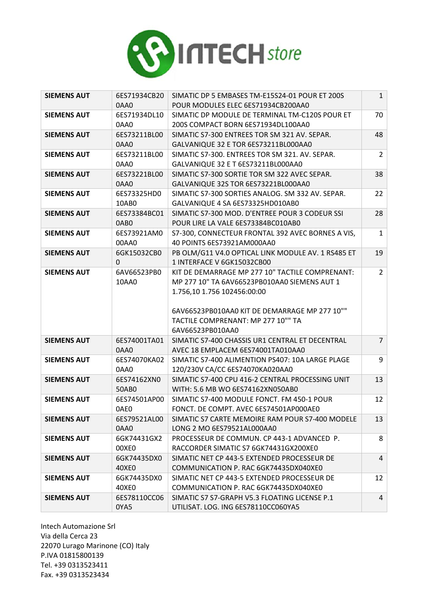

| <b>SIEMENS AUT</b> | 6ES71934CB20         | SIMATIC DP 5 EMBASES TM-E15S24-01 POUR ET 200S                                       | $\mathbf{1}$   |
|--------------------|----------------------|--------------------------------------------------------------------------------------|----------------|
|                    | 0AA0                 | POUR MODULES ELEC 6ES71934CB200AA0                                                   |                |
| <b>SIEMENS AUT</b> | 6ES71934DL10         | SIMATIC DP MODULE DE TERMINAL TM-C120S POUR ET                                       | 70             |
|                    | 0AA0                 | 200S COMPACT BORN 6ES71934DL100AA0                                                   |                |
| <b>SIEMENS AUT</b> | 6ES73211BL00         | SIMATIC S7-300 ENTREES TOR SM 321 AV. SEPAR.                                         | 48             |
|                    | 0AA0                 | GALVANIQUE 32 E TOR 6ES73211BL000AA0                                                 |                |
| <b>SIEMENS AUT</b> | 6ES73211BL00         | SIMATIC S7-300. ENTREES TOR SM 321. AV. SEPAR.                                       | $\overline{2}$ |
|                    | 0AA0                 | GALVANIQUE 32 E T 6ES73211BL000AA0                                                   |                |
| <b>SIEMENS AUT</b> | 6ES73221BL00         | SIMATIC S7-300 SORTIE TOR SM 322 AVEC SEPAR.                                         | 38             |
|                    | 0AA0                 | GALVANIQUE 32S TOR 6ES73221BL000AA0                                                  |                |
| <b>SIEMENS AUT</b> | 6ES73325HD0          | SIMATIC S7-300 SORTIES ANALOG. SM 332 AV. SEPAR.                                     | 22             |
|                    | 10AB0                | GALVANIQUE 4 SA 6ES73325HD010AB0                                                     |                |
| <b>SIEMENS AUT</b> | 6ES73384BC01         | SIMATIC S7-300 MOD. D'ENTREE POUR 3 CODEUR SSI                                       | 28             |
|                    | 0AB0                 | POUR LIRE LA VALE 6ES73384BC010AB0                                                   |                |
| <b>SIEMENS AUT</b> | 6ES73921AM0          | S7-300, CONNECTEUR FRONTAL 392 AVEC BORNES A VIS,                                    | $\mathbf{1}$   |
|                    | 00AA0                | 40 POINTS 6ES73921AM000AA0                                                           |                |
| <b>SIEMENS AUT</b> | 6GK15032CB0          | PB OLM/G11 V4.0 OPTICAL LINK MODULE AV. 1 RS485 ET                                   | 19             |
|                    | 0                    | 1 INTERFACE V 6GK15032CB00                                                           |                |
| <b>SIEMENS AUT</b> | 6AV66523PB0          | KIT DE DEMARRAGE MP 277 10" TACTILE COMPRENANT:                                      | $\overline{2}$ |
|                    | 10AA0                | MP 277 10" TA 6AV66523PB010AA0 SIEMENS AUT 1                                         |                |
|                    |                      | 1.756,10 1.756 102456:00:00                                                          |                |
|                    |                      |                                                                                      |                |
|                    |                      |                                                                                      |                |
|                    |                      | 6AV66523PB010AA0 KIT DE DEMARRAGE MP 277 10""                                        |                |
|                    |                      | TACTILE COMPRENANT: MP 277 10"" TA                                                   |                |
|                    |                      | 6AV66523PB010AA0                                                                     |                |
| <b>SIEMENS AUT</b> | 6ES74001TA01         | SIMATIC S7-400 CHASSIS UR1 CENTRAL ET DECENTRAL                                      | $\overline{7}$ |
|                    | 0AA0                 | AVEC 18 EMPLACEM 6ES74001TA010AA0                                                    |                |
| <b>SIEMENS AUT</b> | 6ES74070KA02         | SIMATIC S7-400 ALIMENTION PS407: 10A LARGE PLAGE                                     | 9              |
|                    | 0AA0                 | 120/230V CA/CC 6ES74070KA020AA0                                                      |                |
| <b>SIEMENS AUT</b> | 6ES74162XN0          | SIMATIC S7-400 CPU 416-2 CENTRAL PROCESSING UNIT                                     | 13             |
|                    | 50AB0                | WITH: 5.6 MB WO 6ES74162XN050AB0                                                     |                |
| <b>SIEMENS AUT</b> | 6ES74501AP00         | SIMATIC S7-400 MODULE FONCT. FM 450-1 POUR                                           | 12             |
|                    | 0AE0                 | FONCT. DE COMPT. AVEC 6ES74501AP000AE0                                               |                |
| <b>SIEMENS AUT</b> | 6ES79521AL00         | SIMATIC S7 CARTE MEMOIRE RAM POUR S7-400 MODELE                                      | 13             |
|                    | 0AA0                 | LONG 2 MO 6ES79521AL000AA0                                                           |                |
| <b>SIEMENS AUT</b> | 6GK74431GX2          | PROCESSEUR DE COMMUN. CP 443-1 ADVANCED P.                                           | 8              |
|                    | 00XE0                | RACCORDER SIMATIC S7 6GK74431GX200XE0                                                |                |
| <b>SIEMENS AUT</b> | 6GK74435DX0          | SIMATIC NET CP 443-5 EXTENDED PROCESSEUR DE                                          | $\overline{4}$ |
|                    | 40XEO                | COMMUNICATION P. RAC 6GK74435DX040XE0                                                |                |
| <b>SIEMENS AUT</b> | 6GK74435DX0          | SIMATIC NET CP 443-5 EXTENDED PROCESSEUR DE                                          | 12             |
|                    | 40XEO                | COMMUNICATION P. RAC 6GK74435DX040XE0                                                |                |
| <b>SIEMENS AUT</b> | 6ES78110CC06<br>0YA5 | SIMATIC S7 S7-GRAPH V5.3 FLOATING LICENSE P.1<br>UTILISAT. LOG. ING 6ES78110CC060YA5 | $\overline{4}$ |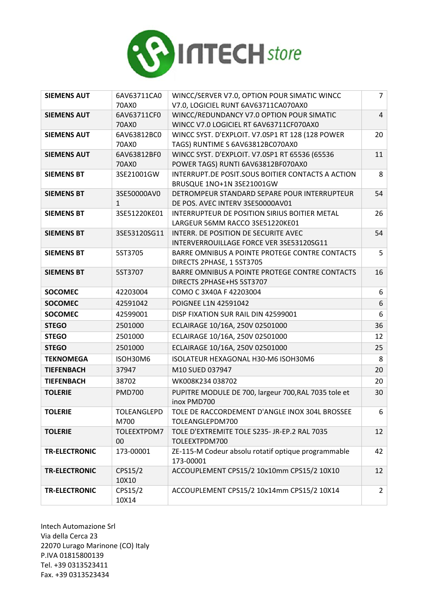

| <b>SIEMENS AUT</b>   | 6AV63711CA0<br>70AX0 | WINCC/SERVER V7.0, OPTION POUR SIMATIC WINCC<br>V7.0, LOGICIEL RUNT 6AV63711CA070AX0 | $\overline{7}$  |
|----------------------|----------------------|--------------------------------------------------------------------------------------|-----------------|
| <b>SIEMENS AUT</b>   | 6AV63711CF0          | WINCC/REDUNDANCY V7.0 OPTION POUR SIMATIC                                            | $\overline{4}$  |
|                      | 70AX0                | WINCC V7.0 LOGICIEL RT 6AV63711CF070AX0                                              |                 |
| <b>SIEMENS AUT</b>   | 6AV63812BC0          | WINCC SYST. D'EXPLOIT. V7.0SP1 RT 128 (128 POWER                                     | 20              |
|                      | 70AX0                | TAGS) RUNTIME S 6AV63812BC070AX0                                                     |                 |
| <b>SIEMENS AUT</b>   | 6AV63812BF0          | WINCC SYST. D'EXPLOIT. V7.0SP1 RT 65536 (65536                                       | 11              |
|                      | 70AX0                | POWER TAGS) RUNTI 6AV63812BF070AX0                                                   |                 |
| <b>SIEMENS BT</b>    | 3SE21001GW           | INTERRUPT.DE POSIT.SOUS BOITIER CONTACTS A ACTION                                    | 8               |
|                      |                      | BRUSQUE 1NO+1N 3SE21001GW                                                            |                 |
| <b>SIEMENS BT</b>    | 3SE50000AV0<br>1     | DETROMPEUR STANDARD SEPARE POUR INTERRUPTEUR<br>DE POS. AVEC INTERV 3SE50000AV01     | 54              |
| <b>SIEMENS BT</b>    | 3SE51220KE01         | INTERRUPTEUR DE POSITION SIRIUS BOITIER METAL                                        | 26              |
|                      |                      | LARGEUR 56MM RACCO 3SE51220KE01                                                      |                 |
| <b>SIEMENS BT</b>    | 3SE53120SG11         | INTERR. DE POSITION DE SECURITE AVEC                                                 | 54              |
|                      |                      | INTERVERROUILLAGE FORCE VER 3SE53120SG11                                             |                 |
| <b>SIEMENS BT</b>    | 5ST3705              | BARRE OMNIBUS A POINTE PROTEGE CONTRE CONTACTS                                       | 5               |
|                      |                      | DIRECTS 2PHASE, 1 5ST3705                                                            |                 |
| <b>SIEMENS BT</b>    | 5ST3707              | BARRE OMNIBUS A POINTE PROTEGE CONTRE CONTACTS                                       | 16              |
|                      |                      | DIRECTS 2PHASE+HS 5ST3707                                                            |                 |
| <b>SOCOMEC</b>       | 42203004             | COMO C 3X40A F 42203004                                                              | 6               |
| <b>SOCOMEC</b>       | 42591042             | POIGNEE L1N 42591042                                                                 | 6               |
| <b>SOCOMEC</b>       | 42599001             | DISP FIXATION SUR RAIL DIN 42599001                                                  | 6               |
| <b>STEGO</b>         | 2501000              | ECLAIRAGE 10/16A, 250V 02501000                                                      | 36              |
| <b>STEGO</b>         | 2501000              | ECLAIRAGE 10/16A, 250V 02501000                                                      | 12              |
| <b>STEGO</b>         | 2501000              | ECLAIRAGE 10/16A, 250V 02501000                                                      | 25              |
| <b>TEKNOMEGA</b>     | ISOH30M6             | ISOLATEUR HEXAGONAL H30-M6 ISOH30M6                                                  | 8               |
| <b>TIEFENBACH</b>    | 37947                | M10 SUED 037947                                                                      | 20              |
| <b>TIEFENBACH</b>    | 38702                | WK008K234 038702                                                                     | 20              |
| <b>TOLERIE</b>       | <b>PMD700</b>        | PUPITRE MODULE DE 700, largeur 700, RAL 7035 tole et<br>inox PMD700                  | 30              |
| <b>TOLERIE</b>       | <b>TOLEANGLEPD</b>   | TOLE DE RACCORDEMENT D'ANGLE INOX 304L BROSSEE                                       | 6               |
|                      | M700                 | TOLEANGLEPDM700                                                                      |                 |
| <b>TOLERIE</b>       | TOLEEXTPDM7          | TOLE D'EXTREMITE TOLE S235- JR-EP.2 RAL 7035                                         | 12 <sup>2</sup> |
|                      | 00                   | TOLEEXTPDM700                                                                        |                 |
| <b>TR-ELECTRONIC</b> | 173-00001            | ZE-115-M Codeur absolu rotatif optique programmable<br>173-00001                     | 42              |
| <b>TR-ELECTRONIC</b> | CPS15/2<br>10X10     | ACCOUPLEMENT CPS15/2 10x10mm CPS15/2 10X10                                           | 12              |
| <b>TR-ELECTRONIC</b> | CPS15/2<br>10X14     | ACCOUPLEMENT CPS15/2 10x14mm CPS15/2 10X14                                           | $\overline{2}$  |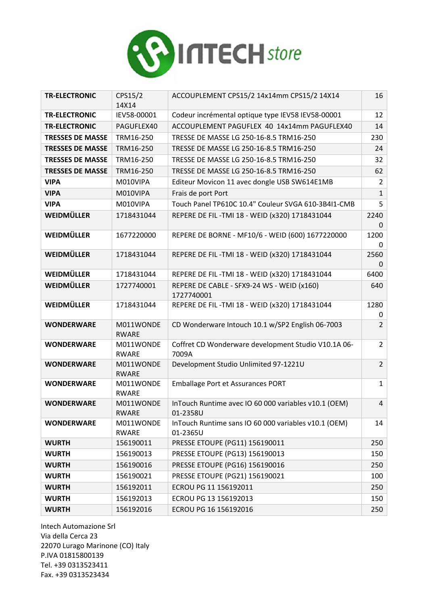

| <b>TR-ELECTRONIC</b>    | CPS15/2<br>14X14          | ACCOUPLEMENT CPS15/2 14x14mm CPS15/2 14X14                       | 16             |
|-------------------------|---------------------------|------------------------------------------------------------------|----------------|
| <b>TR-ELECTRONIC</b>    | IEV58-00001               | Codeur incrémental optique type IEV58 IEV58-00001                | 12             |
| <b>TR-ELECTRONIC</b>    | PAGUFLEX40                | ACCOUPLEMENT PAGUFLEX 40 14x14mm PAGUFLEX40                      | 14             |
| <b>TRESSES DE MASSE</b> | TRM16-250                 | TRESSE DE MASSE LG 250-16-8.5 TRM16-250                          | 230            |
| <b>TRESSES DE MASSE</b> | TRM16-250                 | TRESSE DE MASSE LG 250-16-8.5 TRM16-250                          | 24             |
| <b>TRESSES DE MASSE</b> | TRM16-250                 | TRESSE DE MASSE LG 250-16-8.5 TRM16-250                          | 32             |
| <b>TRESSES DE MASSE</b> | TRM16-250                 | TRESSE DE MASSE LG 250-16-8.5 TRM16-250                          | 62             |
| <b>VIPA</b>             | M010VIPA                  | Editeur Movicon 11 avec dongle USB SW614E1MB                     | $\overline{2}$ |
| <b>VIPA</b>             | M010VIPA                  | Frais de port Port                                               | $\mathbf{1}$   |
| <b>VIPA</b>             | M010VIPA                  | Touch Panel TP610C 10.4" Couleur SVGA 610-3B4I1-CMB              | 5              |
| WEIDMÜLLER              | 1718431044                | REPERE DE FIL - TMI 18 - WEID (x320) 1718431044                  | 2240<br>0      |
| WEIDMÜLLER              | 1677220000                | REPERE DE BORNE - MF10/6 - WEID (600) 1677220000                 | 1200<br>0      |
| WEIDMÜLLER              | 1718431044                | REPERE DE FIL-TMI 18 - WEID (x320) 1718431044                    | 2560<br>0      |
| WEIDMÜLLER              | 1718431044                | REPERE DE FIL-TMI 18 - WEID (x320) 1718431044                    | 6400           |
| WEIDMÜLLER              | 1727740001                | REPERE DE CABLE - SFX9-24 WS - WEID (x160)<br>1727740001         | 640            |
| WEIDMÜLLER              | 1718431044                | REPERE DE FIL-TMI 18 - WEID (x320) 1718431044                    | 1280<br>0      |
| <b>WONDERWARE</b>       | M011WONDE<br><b>RWARE</b> | CD Wonderware Intouch 10.1 w/SP2 English 06-7003                 | $\overline{2}$ |
| <b>WONDERWARE</b>       | M011WONDE<br><b>RWARE</b> | Coffret CD Wonderware development Studio V10.1A 06-<br>7009A     | $\overline{2}$ |
| <b>WONDERWARE</b>       | M011WONDE<br><b>RWARE</b> | Development Studio Unlimited 97-1221U                            | $\overline{2}$ |
| <b>WONDERWARE</b>       | M011WONDE<br><b>RWARE</b> | Emballage Port et Assurances PORT                                | $\mathbf{1}$   |
| <b>WONDERWARE</b>       | M011WONDE<br>RWARE        | InTouch Runtime avec IO 60 000 variables v10.1 (OEM)<br>01-2358U | $\overline{4}$ |
| <b>WONDERWARE</b>       | M011WONDE<br>RWARE        | InTouch Runtime sans IO 60 000 variables v10.1 (OEM)<br>01-2365U | 14             |
| <b>WURTH</b>            | 156190011                 | PRESSE ETOUPE (PG11) 156190011                                   | 250            |
| <b>WURTH</b>            | 156190013                 | PRESSE ETOUPE (PG13) 156190013                                   | 150            |
| <b>WURTH</b>            | 156190016                 | PRESSE ETOUPE (PG16) 156190016                                   | 250            |
| <b>WURTH</b>            | 156190021                 | PRESSE ETOUPE (PG21) 156190021                                   | 100            |
| <b>WURTH</b>            | 156192011                 | ECROU PG 11 156192011                                            | 250            |
| <b>WURTH</b>            | 156192013                 | ECROU PG 13 156192013                                            | 150            |
| <b>WURTH</b>            | 156192016                 | ECROU PG 16 156192016                                            | 250            |